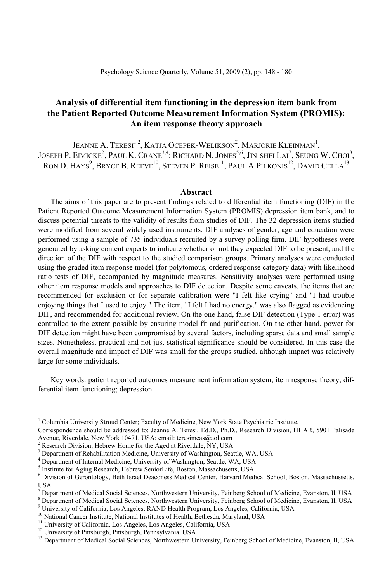# **Analysis of differential item functioning in the depression item bank from the Patient Reported Outcome Measurement Information System (PROMIS): An item response theory approach**

JEANNE A. TERESI<sup>1,2</sup>, KATJA OCEPEK-WELIKSON<sup>2</sup>, MARJORIE KLEINMAN<sup>1</sup>, JOSEPH P. EIMICKE<sup>2</sup>, PAUL K. CRANE<sup>3,4</sup>; RICHARD N. JONES<sup>5,6</sup>, JIN-SHEI LAI<sup>7</sup>, SEUNG W. CHOI<sup>8</sup>, RON D. HAYS $^9$ , Bryce B. Reeve<sup>10</sup>, Steven P. Reise<sup>11</sup>, Paul A.Pilkonis<sup>12</sup>, David Cella<sup>13</sup>

#### **Abstract**

The aims of this paper are to present findings related to differential item functioning (DIF) in the Patient Reported Outcome Measurement Information System (PROMIS) depression item bank, and to discuss potential threats to the validity of results from studies of DIF. The 32 depression items studied were modified from several widely used instruments. DIF analyses of gender, age and education were performed using a sample of 735 individuals recruited by a survey polling firm. DIF hypotheses were generated by asking content experts to indicate whether or not they expected DIF to be present, and the direction of the DIF with respect to the studied comparison groups. Primary analyses were conducted using the graded item response model (for polytomous, ordered response category data) with likelihood ratio tests of DIF, accompanied by magnitude measures. Sensitivity analyses were performed using other item response models and approaches to DIF detection. Despite some caveats, the items that are recommended for exclusion or for separate calibration were "I felt like crying" and "I had trouble enjoying things that I used to enjoy." The item, "I felt I had no energy," was also flagged as evidencing DIF, and recommended for additional review. On the one hand, false DIF detection (Type 1 error) was controlled to the extent possible by ensuring model fit and purification. On the other hand, power for DIF detection might have been compromised by several factors, including sparse data and small sample sizes. Nonetheless, practical and not just statistical significance should be considered. In this case the overall magnitude and impact of DIF was small for the groups studied, although impact was relatively large for some individuals.

Key words: patient reported outcomes measurement information system; item response theory; differential item functioning; depression

<sup>8</sup> Department of Medical Social Sciences, Northwestern University, Feinberg School of Medicine, Evanston, Il, USA

 $\frac{1}{1}$ <sup>1</sup> Columbia University Stroud Center; Faculty of Medicine, New York State Psychiatric Institute.

Correspondence should be addressed to: Jeanne A. Teresi, Ed.D., Ph.D., Research Division, HHAR, 5901 Palisade Avenue, Riverdale, New York 10471, USA; email: teresimeas@aol.com

Research Division, Hebrew Home for the Aged at Riverdale, NY, USA

 $3$  Department of Rehabilitation Medicine, University of Washington, Seattle, WA, USA  $4$  Department of Integral Medicine, University of Weshington, Seattle, WA, USA

<sup>&</sup>lt;sup>4</sup> Department of Internal Medicine, University of Washington, Seattle, WA, USA

Institute for Aging Research, Hebrew SeniorLife, Boston, Massachusetts, USA

 $^6$  Division of Gerontology, Beth Israel Deaconess Medical Center, Harvard Medical School, Boston, Massachussetts, USA

<sup>&</sup>lt;sup>7</sup> Department of Medical Social Sciences, Northwestern University, Feinberg School of Medicine, Evanston, Il, USA

<sup>&</sup>lt;sup>9</sup> University of California, Los Angeles; RAND Health Program, Los Angeles, California, USA

<sup>&</sup>lt;sup>10</sup> National Cancer Institute, National Institutes of Health, Bethesda, Maryland, USA<sup>11</sup> University of California, Los Angeles, Los Angeles, California, USA

<sup>&</sup>lt;sup>12</sup> University of Pittsburgh, Pittsburgh, Pennsylvania, USA

<sup>&</sup>lt;sup>13</sup> Department of Medical Social Sciences, Northwestern University, Feinberg School of Medicine, Evanston, Il, USA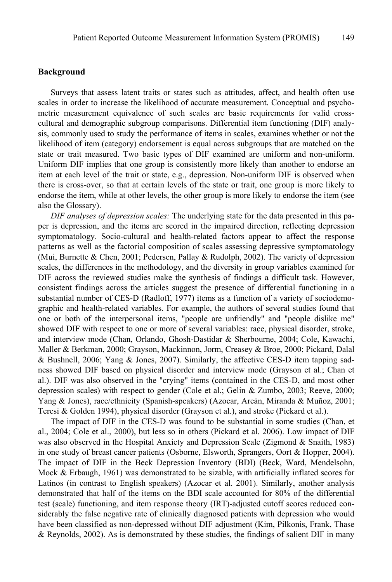#### **Background**

Surveys that assess latent traits or states such as attitudes, affect, and health often use scales in order to increase the likelihood of accurate measurement. Conceptual and psychometric measurement equivalence of such scales are basic requirements for valid crosscultural and demographic subgroup comparisons. Differential item functioning (DIF) analysis, commonly used to study the performance of items in scales, examines whether or not the likelihood of item (category) endorsement is equal across subgroups that are matched on the state or trait measured. Two basic types of DIF examined are uniform and non-uniform. Uniform DIF implies that one group is consistently more likely than another to endorse an item at each level of the trait or state, e.g., depression. Non-uniform DIF is observed when there is cross-over, so that at certain levels of the state or trait, one group is more likely to endorse the item, while at other levels, the other group is more likely to endorse the item (see also the Glossary).

*DIF analyses of depression scales:* The underlying state for the data presented in this paper is depression, and the items are scored in the impaired direction, reflecting depression symptomatology. Socio-cultural and health-related factors appear to affect the response patterns as well as the factorial composition of scales assessing depressive symptomatology (Mui, Burnette & Chen, 2001; Pedersen, Pallay & Rudolph, 2002). The variety of depression scales, the differences in the methodology, and the diversity in group variables examined for DIF across the reviewed studies make the synthesis of findings a difficult task. However, consistent findings across the articles suggest the presence of differential functioning in a substantial number of CES-D (Radloff, 1977) items as a function of a variety of sociodemographic and health-related variables. For example, the authors of several studies found that one or both of the interpersonal items, "people are unfriendly" and "people dislike me" showed DIF with respect to one or more of several variables: race, physical disorder, stroke, and interview mode (Chan, Orlando, Ghosh-Dastidar & Sherbourne, 2004; Cole, Kawachi, Maller & Berkman, 2000; Grayson, Mackinnon, Jorm, Creasey & Broe, 2000; Pickard, Dalal & Bushnell, 2006; Yang & Jones, 2007). Similarly, the affective CES-D item tapping sadness showed DIF based on physical disorder and interview mode (Grayson et al.; Chan et al.). DIF was also observed in the "crying" items (contained in the CES-D, and most other depression scales) with respect to gender (Cole et al.; Gelin & Zumbo, 2003; Reeve, 2000; Yang & Jones), race/ethnicity (Spanish-speakers) (Azocar, Areán, Miranda & Muñoz, 2001; Teresi & Golden 1994), physical disorder (Grayson et al.), and stroke (Pickard et al.).

The impact of DIF in the CES-D was found to be substantial in some studies (Chan, et al., 2004; Cole et al., 2000), but less so in others (Pickard et al. 2006). Low impact of DIF was also observed in the Hospital Anxiety and Depression Scale (Zigmond & Snaith, 1983) in one study of breast cancer patients (Osborne, Elsworth, Sprangers, Oort & Hopper, 2004). The impact of DIF in the Beck Depression Inventory (BDI) (Beck, Ward, Mendelsohn, Mock & Erbaugh, 1961) was demonstrated to be sizable, with artificially inflated scores for Latinos (in contrast to English speakers) (Azocar et al. 2001). Similarly, another analysis demonstrated that half of the items on the BDI scale accounted for 80% of the differential test (scale) functioning, and item response theory (IRT)-adjusted cutoff scores reduced considerably the false negative rate of clinically diagnosed patients with depression who would have been classified as non-depressed without DIF adjustment (Kim, Pilkonis, Frank, Thase & Reynolds, 2002). As is demonstrated by these studies, the findings of salient DIF in many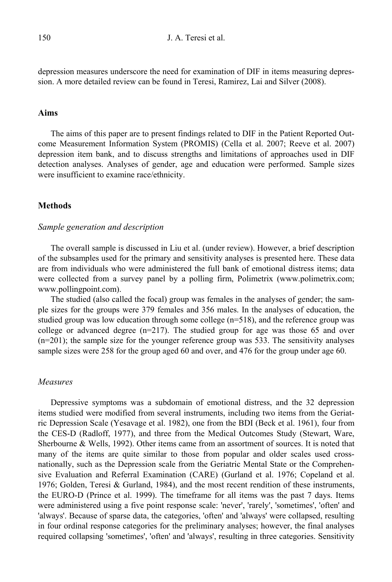depression measures underscore the need for examination of DIF in items measuring depression. A more detailed review can be found in Teresi, Ramirez, Lai and Silver (2008).

## **Aims**

The aims of this paper are to present findings related to DIF in the Patient Reported Outcome Measurement Information System (PROMIS) (Cella et al. 2007; Reeve et al. 2007) depression item bank, and to discuss strengths and limitations of approaches used in DIF detection analyses. Analyses of gender, age and education were performed. Sample sizes were insufficient to examine race/ethnicity.

#### **Methods**

#### *Sample generation and description*

The overall sample is discussed in Liu et al. (under review). However, a brief description of the subsamples used for the primary and sensitivity analyses is presented here. These data are from individuals who were administered the full bank of emotional distress items; data were collected from a survey panel by a polling firm, Polimetrix (www.polimetrix.com; www.pollingpoint.com).

The studied (also called the focal) group was females in the analyses of gender; the sample sizes for the groups were 379 females and 356 males. In the analyses of education, the studied group was low education through some college (n=518), and the reference group was college or advanced degree (n=217). The studied group for age was those 65 and over  $(n=201)$ ; the sample size for the younger reference group was 533. The sensitivity analyses sample sizes were 258 for the group aged 60 and over, and 476 for the group under age 60.

#### *Measures*

Depressive symptoms was a subdomain of emotional distress, and the 32 depression items studied were modified from several instruments, including two items from the Geriatric Depression Scale (Yesavage et al. 1982), one from the BDI (Beck et al. 1961), four from the CES-D (Radloff, 1977), and three from the Medical Outcomes Study (Stewart, Ware, Sherbourne & Wells, 1992). Other items came from an assortment of sources. It is noted that many of the items are quite similar to those from popular and older scales used crossnationally, such as the Depression scale from the Geriatric Mental State or the Comprehensive Evaluation and Referral Examination (CARE) (Gurland et al. 1976; Copeland et al. 1976; Golden, Teresi & Gurland, 1984), and the most recent rendition of these instruments, the EURO-D (Prince et al. 1999). The timeframe for all items was the past 7 days. Items were administered using a five point response scale: 'never', 'rarely', 'sometimes', 'often' and 'always'. Because of sparse data, the categories, 'often' and 'always' were collapsed, resulting in four ordinal response categories for the preliminary analyses; however, the final analyses required collapsing 'sometimes', 'often' and 'always', resulting in three categories. Sensitivity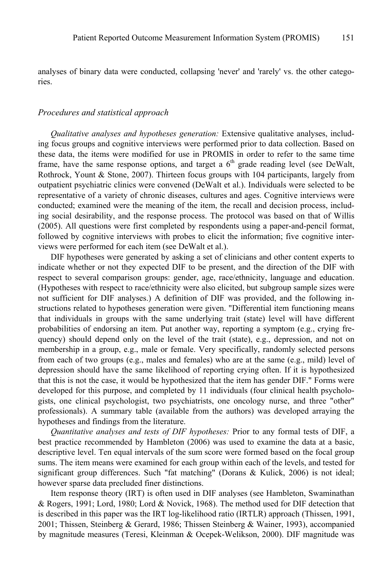analyses of binary data were conducted, collapsing 'never' and 'rarely' vs. the other categories.

#### *Procedures and statistical approach*

*Qualitative analyses and hypotheses generation:* Extensive qualitative analyses, including focus groups and cognitive interviews were performed prior to data collection. Based on these data, the items were modified for use in PROMIS in order to refer to the same time frame, have the same response options, and target a  $6<sup>th</sup>$  grade reading level (see DeWalt, Rothrock, Yount & Stone, 2007). Thirteen focus groups with 104 participants, largely from outpatient psychiatric clinics were convened (DeWalt et al.). Individuals were selected to be representative of a variety of chronic diseases, cultures and ages. Cognitive interviews were conducted; examined were the meaning of the item, the recall and decision process, including social desirability, and the response process. The protocol was based on that of Willis (2005). All questions were first completed by respondents using a paper-and-pencil format, followed by cognitive interviews with probes to elicit the information; five cognitive interviews were performed for each item (see DeWalt et al.).

DIF hypotheses were generated by asking a set of clinicians and other content experts to indicate whether or not they expected DIF to be present, and the direction of the DIF with respect to several comparison groups: gender, age, race/ethnicity, language and education. (Hypotheses with respect to race/ethnicity were also elicited, but subgroup sample sizes were not sufficient for DIF analyses.) A definition of DIF was provided, and the following instructions related to hypotheses generation were given. "Differential item functioning means that individuals in groups with the same underlying trait (state) level will have different probabilities of endorsing an item. Put another way, reporting a symptom (e.g., crying frequency) should depend only on the level of the trait (state), e.g., depression, and not on membership in a group, e.g., male or female. Very specifically, randomly selected persons from each of two groups (e.g., males and females) who are at the same (e.g., mild) level of depression should have the same likelihood of reporting crying often. If it is hypothesized that this is not the case, it would be hypothesized that the item has gender DIF." Forms were developed for this purpose, and completed by 11 individuals (four clinical health psychologists, one clinical psychologist, two psychiatrists, one oncology nurse, and three "other" professionals). A summary table (available from the authors) was developed arraying the hypotheses and findings from the literature.

*Quantitative analyses and tests of DIF hypotheses:* Prior to any formal tests of DIF, a best practice recommended by Hambleton (2006) was used to examine the data at a basic, descriptive level. Ten equal intervals of the sum score were formed based on the focal group sums. The item means were examined for each group within each of the levels, and tested for significant group differences. Such "fat matching" (Dorans & Kulick, 2006) is not ideal; however sparse data precluded finer distinctions.

Item response theory (IRT) is often used in DIF analyses (see Hambleton, Swaminathan & Rogers, 1991; Lord, 1980; Lord & Novick, 1968). The method used for DIF detection that is described in this paper was the IRT log-likelihood ratio (IRTLR) approach (Thissen, 1991, 2001; Thissen, Steinberg & Gerard, 1986; Thissen Steinberg & Wainer, 1993), accompanied by magnitude measures (Teresi, Kleinman & Ocepek-Welikson, 2000). DIF magnitude was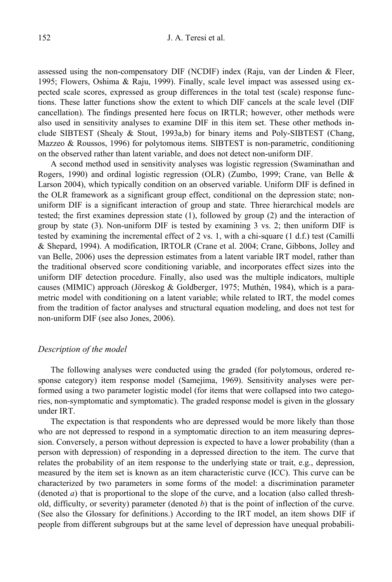assessed using the non-compensatory DIF (NCDIF) index (Raju, van der Linden & Fleer, 1995; Flowers, Oshima & Raju, 1999). Finally, scale level impact was assessed using expected scale scores, expressed as group differences in the total test (scale) response functions. These latter functions show the extent to which DIF cancels at the scale level (DIF cancellation). The findings presented here focus on IRTLR; however, other methods were also used in sensitivity analyses to examine DIF in this item set. These other methods include SIBTEST (Shealy  $\&$  Stout, 1993a,b) for binary items and Poly-SIBTEST (Chang, Mazzeo & Roussos, 1996) for polytomous items. SIBTEST is non-parametric, conditioning on the observed rather than latent variable, and does not detect non-uniform DIF.

A second method used in sensitivity analyses was logistic regression (Swaminathan and Rogers, 1990) and ordinal logistic regression (OLR) (Zumbo, 1999; Crane, van Belle & Larson 2004), which typically condition on an observed variable. Uniform DIF is defined in the OLR framework as a significant group effect, conditional on the depression state; nonuniform DIF is a significant interaction of group and state. Three hierarchical models are tested; the first examines depression state (1), followed by group (2) and the interaction of group by state (3). Non-uniform DIF is tested by examining 3 vs. 2; then uniform DIF is tested by examining the incremental effect of 2 vs. 1, with a chi-square  $(1 d.f.)$  test (Camilli & Shepard, 1994). A modification, IRTOLR (Crane et al. 2004; Crane, Gibbons, Jolley and van Belle, 2006) uses the depression estimates from a latent variable IRT model, rather than the traditional observed score conditioning variable, and incorporates effect sizes into the uniform DIF detection procedure. Finally, also used was the multiple indicators, multiple causes (MIMIC) approach (Jöreskog & Goldberger, 1975; Muthén, 1984), which is a parametric model with conditioning on a latent variable; while related to IRT, the model comes from the tradition of factor analyses and structural equation modeling, and does not test for non-uniform DIF (see also Jones, 2006).

## *Description of the model*

The following analyses were conducted using the graded (for polytomous, ordered response category) item response model (Samejima, 1969). Sensitivity analyses were performed using a two parameter logistic model (for items that were collapsed into two categories, non-symptomatic and symptomatic). The graded response model is given in the glossary under IRT.

The expectation is that respondents who are depressed would be more likely than those who are not depressed to respond in a symptomatic direction to an item measuring depression. Conversely, a person without depression is expected to have a lower probability (than a person with depression) of responding in a depressed direction to the item. The curve that relates the probability of an item response to the underlying state or trait, e.g., depression, measured by the item set is known as an item characteristic curve (ICC). This curve can be characterized by two parameters in some forms of the model: a discrimination parameter (denoted *a*) that is proportional to the slope of the curve, and a location (also called threshold, difficulty, or severity) parameter (denoted *b*) that is the point of inflection of the curve. (See also the Glossary for definitions.) According to the IRT model, an item shows DIF if people from different subgroups but at the same level of depression have unequal probabili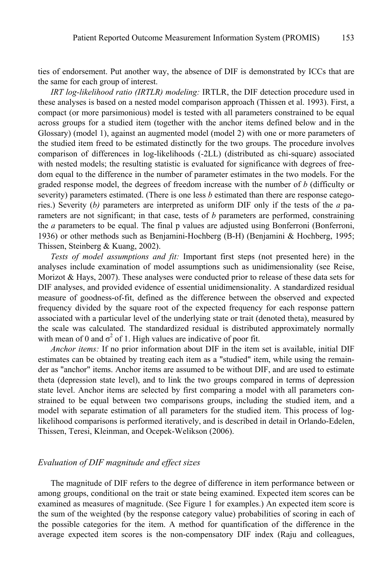ties of endorsement. Put another way, the absence of DIF is demonstrated by ICCs that are the same for each group of interest.

*IRT log-likelihood ratio (IRTLR) modeling:* IRTLR, the DIF detection procedure used in these analyses is based on a nested model comparison approach (Thissen et al. 1993). First, a compact (or more parsimonious) model is tested with all parameters constrained to be equal across groups for a studied item (together with the anchor items defined below and in the Glossary) (model 1), against an augmented model (model 2) with one or more parameters of the studied item freed to be estimated distinctly for the two groups. The procedure involves comparison of differences in log-likelihoods (-2LL) (distributed as chi-square) associated with nested models; the resulting statistic is evaluated for significance with degrees of freedom equal to the difference in the number of parameter estimates in the two models. For the graded response model, the degrees of freedom increase with the number of *b* (difficulty or severity) parameters estimated. (There is one less *b* estimated than there are response categories.) Severity (*b)* parameters are interpreted as uniform DIF only if the tests of the *a* parameters are not significant; in that case, tests of *b* parameters are performed, constraining the *a* parameters to be equal. The final p values are adjusted using Bonferroni (Bonferroni, 1936) or other methods such as Benjamini-Hochberg (B-H) (Benjamini & Hochberg, 1995; Thissen, Steinberg & Kuang, 2002).

*Tests of model assumptions and fit:* Important first steps (not presented here) in the analyses include examination of model assumptions such as unidimensionality (see Reise, Morizot & Hays, 2007). These analyses were conducted prior to release of these data sets for DIF analyses, and provided evidence of essential unidimensionality. A standardized residual measure of goodness-of-fit, defined as the difference between the observed and expected frequency divided by the square root of the expected frequency for each response pattern associated with a particular level of the underlying state or trait (denoted theta), measured by the scale was calculated. The standardized residual is distributed approximately normally with mean of 0 and  $\sigma^2$  of 1. High values are indicative of poor fit.

*Anchor items:* If no prior information about DIF in the item set is available, initial DIF estimates can be obtained by treating each item as a "studied" item, while using the remainder as "anchor" items. Anchor items are assumed to be without DIF, and are used to estimate theta (depression state level), and to link the two groups compared in terms of depression state level. Anchor items are selected by first comparing a model with all parameters constrained to be equal between two comparisons groups, including the studied item, and a model with separate estimation of all parameters for the studied item. This process of loglikelihood comparisons is performed iteratively, and is described in detail in Orlando-Edelen, Thissen, Teresi, Kleinman, and Ocepek-Welikson (2006).

## *Evaluation of DIF magnitude and effect sizes*

The magnitude of DIF refers to the degree of difference in item performance between or among groups, conditional on the trait or state being examined. Expected item scores can be examined as measures of magnitude. (See Figure 1 for examples.) An expected item score is the sum of the weighted (by the response category value) probabilities of scoring in each of the possible categories for the item. A method for quantification of the difference in the average expected item scores is the non-compensatory DIF index (Raju and colleagues,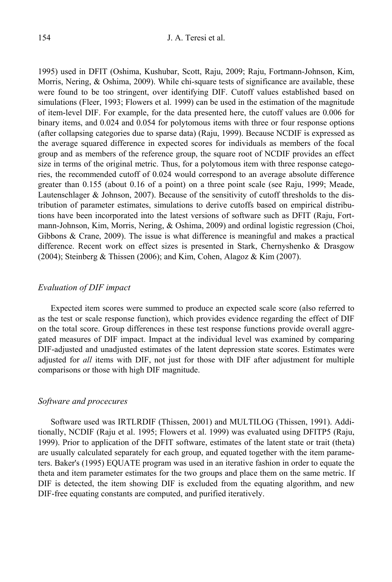1995) used in DFIT (Oshima, Kushubar, Scott, Raju, 2009; Raju, Fortmann-Johnson, Kim, Morris, Nering, & Oshima, 2009). While chi-square tests of significance are available, these were found to be too stringent, over identifying DIF. Cutoff values established based on simulations (Fleer, 1993; Flowers et al. 1999) can be used in the estimation of the magnitude of item-level DIF. For example, for the data presented here, the cutoff values are 0.006 for binary items, and 0.024 and 0.054 for polytomous items with three or four response options (after collapsing categories due to sparse data) (Raju, 1999). Because NCDIF is expressed as the average squared difference in expected scores for individuals as members of the focal group and as members of the reference group, the square root of NCDIF provides an effect size in terms of the original metric. Thus, for a polytomous item with three response categories, the recommended cutoff of 0.024 would correspond to an average absolute difference greater than 0.155 (about 0.16 of a point) on a three point scale (see Raju, 1999; Meade, Lautenschlager & Johnson, 2007). Because of the sensitivity of cutoff thresholds to the distribution of parameter estimates, simulations to derive cutoffs based on empirical distributions have been incorporated into the latest versions of software such as DFIT (Raju, Fortmann-Johnson, Kim, Morris, Nering, & Oshima, 2009) and ordinal logistic regression (Choi, Gibbons & Crane, 2009). The issue is what difference is meaningful and makes a practical difference. Recent work on effect sizes is presented in Stark, Chernyshenko & Drasgow (2004); Steinberg & Thissen (2006); and Kim, Cohen, Alagoz & Kim (2007).

#### *Evaluation of DIF impact*

Expected item scores were summed to produce an expected scale score (also referred to as the test or scale response function), which provides evidence regarding the effect of DIF on the total score. Group differences in these test response functions provide overall aggregated measures of DIF impact. Impact at the individual level was examined by comparing DIF-adjusted and unadjusted estimates of the latent depression state scores. Estimates were adjusted for *all* items with DIF, not just for those with DIF after adjustment for multiple comparisons or those with high DIF magnitude.

#### *Software and procecures*

Software used was IRTLRDIF (Thissen, 2001) and MULTILOG (Thissen, 1991). Additionally, NCDIF (Raju et al. 1995; Flowers et al. 1999) was evaluated using DFITP5 (Raju, 1999). Prior to application of the DFIT software, estimates of the latent state or trait (theta) are usually calculated separately for each group, and equated together with the item parameters. Baker's (1995) EQUATE program was used in an iterative fashion in order to equate the theta and item parameter estimates for the two groups and place them on the same metric. If DIF is detected, the item showing DIF is excluded from the equating algorithm, and new DIF-free equating constants are computed, and purified iteratively.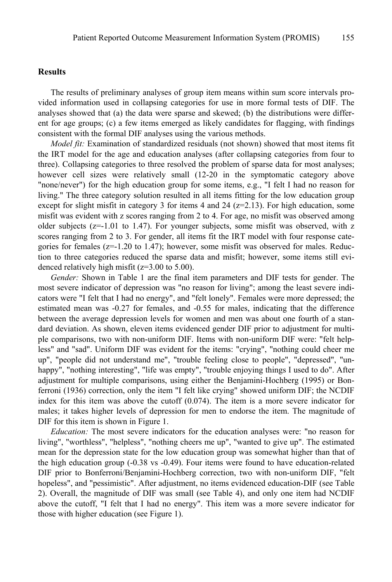## **Results**

The results of preliminary analyses of group item means within sum score intervals provided information used in collapsing categories for use in more formal tests of DIF. The analyses showed that (a) the data were sparse and skewed; (b) the distributions were different for age groups; (c) a few items emerged as likely candidates for flagging, with findings consistent with the formal DIF analyses using the various methods.

*Model fit:* Examination of standardized residuals (not shown) showed that most items fit the IRT model for the age and education analyses (after collapsing categories from four to three). Collapsing categories to three resolved the problem of sparse data for most analyses; however cell sizes were relatively small (12-20 in the symptomatic category above "none/never") for the high education group for some items, e.g., "I felt I had no reason for living." The three category solution resulted in all items fitting for the low education group except for slight misfit in category 3 for items 4 and 24 ( $z=2.13$ ). For high education, some misfit was evident with z scores ranging from 2 to 4. For age, no misfit was observed among older subjects ( $z=1.01$  to 1.47). For younger subjects, some misfit was observed, with z scores ranging from 2 to 3. For gender, all items fit the IRT model with four response categories for females  $(z=1.20 \text{ to } 1.47)$ ; however, some misfit was observed for males. Reduction to three categories reduced the sparse data and misfit; however, some items still evidenced relatively high misfit  $(z=3.00 \text{ to } 5.00)$ .

*Gender:* Shown in Table 1 are the final item parameters and DIF tests for gender. The most severe indicator of depression was "no reason for living"; among the least severe indicators were "I felt that I had no energy", and "felt lonely". Females were more depressed; the estimated mean was -0.27 for females, and -0.55 for males, indicating that the difference between the average depression levels for women and men was about one fourth of a standard deviation. As shown, eleven items evidenced gender DIF prior to adjustment for multiple comparisons, two with non-uniform DIF. Items with non-uniform DIF were: "felt helpless" and "sad". Uniform DIF was evident for the items: "crying", "nothing could cheer me up", "people did not understand me", "trouble feeling close to people", "depressed", "unhappy", "nothing interesting", "life was empty", "trouble enjoying things I used to do". After adjustment for multiple comparisons, using either the Benjamini-Hochberg (1995) or Bonferroni (1936) correction, only the item "I felt like crying" showed uniform DIF; the NCDIF index for this item was above the cutoff (0.074). The item is a more severe indicator for males; it takes higher levels of depression for men to endorse the item. The magnitude of DIF for this item is shown in Figure 1.

*Education:* The most severe indicators for the education analyses were: "no reason for living", "worthless", "helpless", "nothing cheers me up", "wanted to give up". The estimated mean for the depression state for the low education group was somewhat higher than that of the high education group (-0.38 vs -0.49). Four items were found to have education-related DIF prior to Bonferroni/Benjamini-Hochberg correction, two with non-uniform DIF, "felt hopeless", and "pessimistic". After adjustment, no items evidenced education-DIF (see Table 2). Overall, the magnitude of DIF was small (see Table 4), and only one item had NCDIF above the cutoff, "I felt that I had no energy". This item was a more severe indicator for those with higher education (see Figure 1).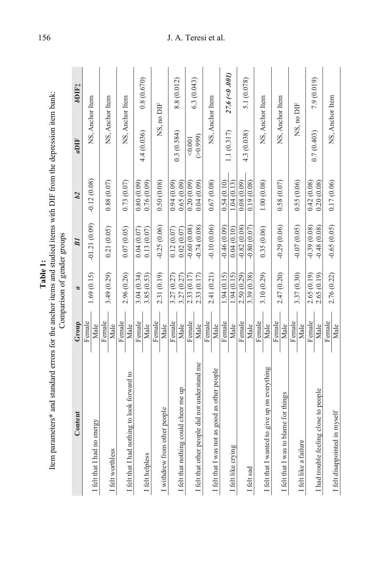| Item parameters* and standard errors for the anchor items and studied items with DIF from the depression item bank: |                | Comparison of gender groups |                                |                              |                         |                    |
|---------------------------------------------------------------------------------------------------------------------|----------------|-----------------------------|--------------------------------|------------------------------|-------------------------|--------------------|
| Content                                                                                                             | Group          | a                           | <b>BI</b>                      | b2                           | aDIF                    | bDIF <sub>‡</sub>  |
| I felt that I had no energy                                                                                         | Female<br>Male | 1.69(0.15)                  | $-01.21(0.09)$                 | $-0.12(0.08)$                | NS, Anchor Item         |                    |
| I felt worthless                                                                                                    | Female<br>Male | 3.49 (0.29)                 | 0.21(0.05)                     | 0.88(0.07)                   | NS, Anchor Item         |                    |
| I felt that I had nothing to look forward to                                                                        | Female<br>Male | 2.96 (0.26)                 | 0.07(0.05)                     | 0.73(0.07)                   | NS, Anchor Item         |                    |
| I felt helpless                                                                                                     | Female<br>Male | 3.85 (0.53)<br>3.04(0.34)   | 0.13(0.07)<br>0.04(0.07)       | 0.76(0.09)<br>0.80(0.09)     | 4.4 (0.036)             | 0.8(0.670)         |
| I withdrew from other people                                                                                        | Female<br>Male | 2.31 (0.19)                 | $-0.25(0.06)$                  | 0.50(0.08)                   | NS, no DIF              |                    |
| I felt that nothing could cheer me up                                                                               | Female<br>Male | 3.27 (0.27)<br>3.27(0.27)   | 0.12(0.07)<br>0.02(0.07)       | 0.65(0.09)<br>0.94(0.09)     | 0.3(0.584)              | 8.8 (0.012)        |
| I felt that other people did not understand me                                                                      | Female<br>Male | 2.33 (0.17)<br>2.33 (0.17)  | $-0.74(0.08)$<br>$-0.60(0.08)$ | 0.20(0.09)<br>0.04(0.09)     | $($ > 0,999)<br>< 0.001 | 6.3 (0.043)        |
| I felt that I was not as good as other people                                                                       | Female<br>Male | 2.41 (0.21)                 | $-0.10(0.06)$                  | 0.67(0.08)                   | NS, Anchor Item         |                    |
| I felt like crying                                                                                                  | Female<br>Male | $-.94(0.15)$<br>1.94(0.15)  | $-0.46(0.09)$<br>0.04(0.10)    | 1.04(0.13)<br>0.54(0.10)     | 1.1(0.317)              | $27.6 \, (<0.001)$ |
| I felt sad                                                                                                          | Female<br>Male | 2.50(0.29)<br>3.39(0.38)    | $-0.82(0.08)$<br>$-0.80(0.07)$ | (60.080, 0.00)<br>0.19(0.08) | 4.3 (0.038)             | 5.1 (0.078)        |
| I felt that I wanted to give up on everything                                                                       | Female<br>Male | 3.10(0.29)                  | 0.35(0.06)                     | 1.00(0.08)                   | NS, Anchor Item         |                    |
| I felt that I was to blame for things                                                                               | Female<br>Male | 2.47 (0.20)                 | $-0.29(0.06)$                  | 0.58(0.07)                   | NS, Anchor Item         |                    |
| I felt like a failure                                                                                               | Female<br>Male | 3.37 (0.30)                 | $-0.07(0.05)$                  | 0.55(0.06)                   | NS, no DIF              |                    |
| I had trouble feeling close to people                                                                               | Female<br>Male | 2.65(0.19)<br>2.65 (0.19)   | $-0.48(0.08)$<br>$-0.39(0.08)$ | 0.20(0.08)<br>0.42(0.08)     | 0.7(0.403)              | 7.9 (0.019)        |
| I felt disappointed in myself                                                                                       | Female<br>Male | 2.76 (0.22)                 | $-0.65(0.05)$                  | 0.17(0.06)                   | NS, Anchor Item         |                    |

**Table 1:**<br><sup>1:</sup> <sup>1:</sup> <sup>1:</sup> <sup>1:</sup> <sup>1:</sup> e<sup>1</sup>

# 156 J. A. Teresi et al.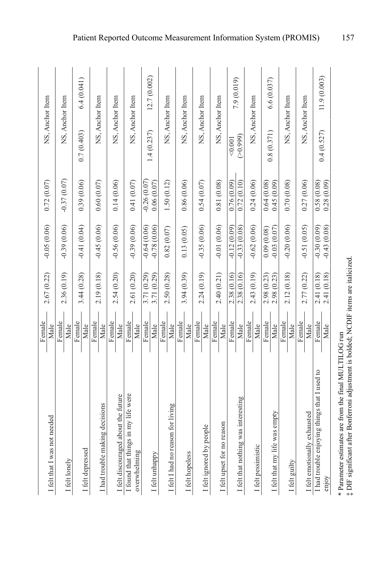| I felt that I was not needed                          | Female<br>Male | 2.67 (0.22)                | $-0.05(0.06)$                  | 0.72(0.07)                  | NS, Anchor Item       |              |
|-------------------------------------------------------|----------------|----------------------------|--------------------------------|-----------------------------|-----------------------|--------------|
| I felt lonely                                         | Female<br>Male | 2.36 (0.19)                | $-0.39(0.06)$                  | $-0.37(0.07)$               | NS, Anchor Item       |              |
| I felt depressed                                      | Female<br>Male | 3.44 (0.28)                | $-0.41(0.04)$                  | 0.39(0.06)                  | 0.7(0.403)            | 6.4(0.041)   |
| I had trouble making decisions                        | Female<br>Male | 2.19 (0.18)                | $-0.45(0.06)$                  | 0.60(0.07)                  | NS, Anchor Item       |              |
| I felt discouraged about the future                   | Female<br>Male | 2.54 (0.20)                | $-0.56(0.06)$                  | 0.14(0.06)                  | NS, Anchor Item       |              |
| I found that things in my life were<br>overwhelming   | Female<br>Male | 2.61 (0.20)                | $-0.39(0.06)$                  | 0.41(0.07)                  | NS, Anchor Item       |              |
| I felt unhappy                                        | Female<br>Male | 3.71 (0.29)<br>3.71 (0.29) | $-0.64(0.06)$<br>$-0.78(0.06)$ | $-0.26(0.07)$<br>0.06(0.07) | 1.4(0.237)            | 12.7 (0.002) |
| I felt I had no reason for living                     | Female<br>Male | 2.50 (0.28)                | 0.82(0.07)                     | 1.50(0.12)                  | NS, Anchor Item       |              |
| I felt hopeless                                       | Female<br>Male | 3.94 (0.39)                | 0.13(0.05)                     | 0.86(0.06)                  | NS, Anchor Item       |              |
| I felt ignored by people                              | Female<br>Male | 2.24(0.19)                 | $-0.35(0.06)$                  | 0.54(0.07)                  | NS, Anchor Item       |              |
| I felt upset for no reason                            | Female<br>Male | 2.40 (0.21)                | $-0.01(0.06)$                  | 0.81(0.08)                  | NS, Anchor Item       |              |
| I felt that nothing was interesting                   | Female<br>Male | 2.38 (0.16)<br>2.38 (0.16) | $-0.33(0.08)$<br>$-0.12(0.09)$ | 0.72(0.10)<br>0.76(0.09)    | $($ > 0,999)<br>0.001 | 7.9 (0.019)  |
| I felt pessimistic                                    | Female<br>Male | 2.43 (0.19)                | $-0.62(0.06)$                  | 0.24(0.06)                  | NS, Anchor Item       |              |
| I felt that my life was empty                         | Female<br>Male | 2.98 (0.23)<br>2.98 (0.23) | $-0.03(0.07)$<br>0.09(0.08)    | 0.45(0.09)<br>0.64(0.08)    | 0.8(0.371)            | 6.6(0.037)   |
| I felt guilty                                         | Female<br>Male | 2.12 (0.18)                | $-0.20(0.06)$                  | 0.70(0.08)                  | NS, Anchor Item       |              |
| I felt emotionally exhausted                          | Female<br>Male | 2.77 (0.22)                | $-0.51(0.05)$                  | 0.27(0.06)                  | NS, Anchor Item       |              |
| I had trouble enjoying things that I used to<br>enjoy | Female<br>Male | 2.41 (0.18)<br>2.41 (0.18) | $-0.43(0.08)$<br>$-0.30(0.09)$ | 0.28(0.09)<br>0.58(0.08)    | 0.4(0.527)            | 11.9(0.003)  |

 $*$  Parameter estimates are from the final MULTILOG run<br> $\ddagger$  DIF significant after Bonferroni adjustment is bolded; NCDIF items are italicized. \* Parameter estimates are from the final MULTILOG run ‡ DIF significant after Bonferroni adjustment is bolded; NCDIF items are italicized.

Patient Reported Outcome Measurement Information System (PROMIS) 157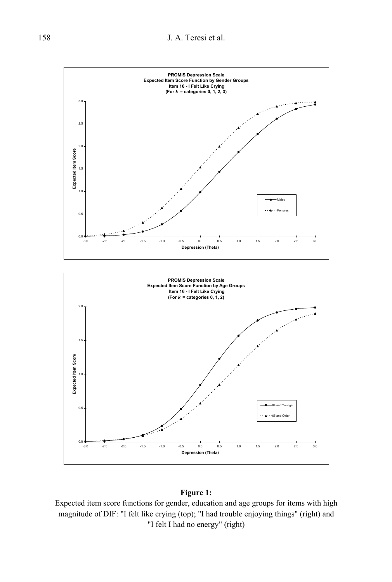

#### **Figure 1:**

Expected item score functions for gender, education and age groups for items with high magnitude of DIF: "I felt like crying (top); "I had trouble enjoying things" (right) and "I felt I had no energy" (right)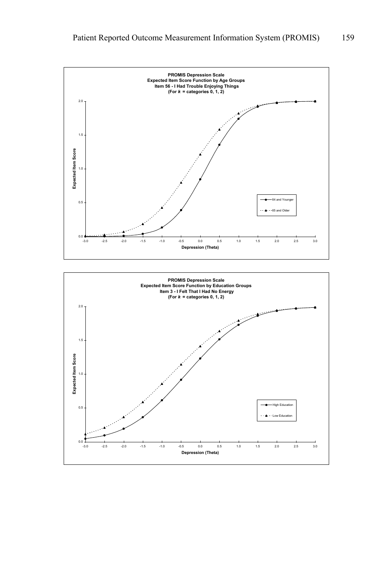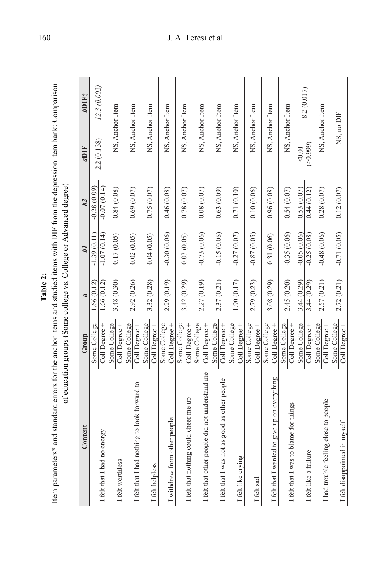|  | i<br>$-10.00$<br>and and<br>The from the first section of the section of the section of the section of the section of the section of the section of the section of the section of the section of the section of the section of the section of the section<br>K ond atomation of the three than | $\alpha$ rra<br>$\alpha$ aducation groups (Some college vs. College or Advance |
|--|------------------------------------------------------------------------------------------------------------------------------------------------------------------------------------------------------------------------------------------------------------------------------------------------|--------------------------------------------------------------------------------|
|  |                                                                                                                                                                                                                                                                                                |                                                                                |

| Item parameters* and standard errors for the anchor items and studied items with DIF from the depression item bank: Comparison | of education groups (Some college vs. College or Advanced degree) |                          |                                |                                |                        |                   |
|--------------------------------------------------------------------------------------------------------------------------------|-------------------------------------------------------------------|--------------------------|--------------------------------|--------------------------------|------------------------|-------------------|
| Content                                                                                                                        | Group                                                             | a                        | bI                             | h2                             | aDIF                   | bDIF <sub>1</sub> |
| I felt that I had no energy                                                                                                    | Some College<br>Coll Degree +                                     | 1.66(0.12)<br>1.66(0.12) | $-1.07(0.14)$<br>$-1.39(0.11)$ | $-0.07(0.14)$<br>$-0.28(0.09)$ | 2.2 (0.138)            | 12.3 (0.002)      |
| I felt worthless                                                                                                               | Some College<br>Coll Degree +                                     | 3.48 (0.30)              | 0.17(0.05)                     | 0.84(0.08)                     | NS, Anchor Item        |                   |
| I felt that I had nothing to look forward to                                                                                   | Some College<br>Coll Degree +                                     | 2.92 (0.26)              | 0.02(0.05)                     | 0.69(0.07)                     | NS, Anchor Item        |                   |
| I felt helpless                                                                                                                | Some College<br>Coll Degree+                                      | 3.32 (0.28)              | 0.04(0.05)                     | 0.75(0.07)                     | NS, Anchor Item        |                   |
| I withdrew from other people                                                                                                   | Some College<br>Coll Degree +                                     | 2.29 (0.19)              | $-0.30(0.06)$                  | 0.46(0.08)                     | NS, Anchor Item        |                   |
| I felt that nothing could cheer me up                                                                                          | Some College<br>Coll Degree +                                     | 3.12 (0.29)              | 0.03(0.05)                     | 0.78(0.07)                     | NS, Anchor Item        |                   |
| I felt that other people did not understand me                                                                                 | Some College<br>Coll Degree+                                      | 2.27 (0.19)              | $-0.73(0.06)$                  | 0.08(0.07)                     | NS, Anchor Item        |                   |
| I felt that I was not as good as other people                                                                                  | Some College<br>Coll Degree +                                     | 2.37 (0.21)              | $-0.15(0.06)$                  | 0.63(0.09)                     | NS, Anchor Item        |                   |
| I felt like crying                                                                                                             | Some College<br>Coll Degree +                                     | 1.90 (0.17)              | $-0.27(0.07)$                  | 0.71(0.10)                     | NS, Anchor Item        |                   |
| I felt sad                                                                                                                     | Some College<br>Coll Degree +                                     | 2.79 (0.23)              | $-0.87(0.05)$                  | 0.10(0.06)                     | NS, Anchor Item        |                   |
| I felt that I wanted to give up on everything                                                                                  | Some College<br>Coll Degree +                                     | 3.08(0.29)               | 0.31(0.06)                     | 0.96(0.08)                     | NS, Anchor Item        |                   |
| I felt that I was to blame for things                                                                                          | Some College<br>Coll Degree +                                     | 2.45 (0.20)              | $-0.35(0.06)$                  | 0.54(0.07)                     | NS, Anchor Item        |                   |
| I felt like a failure                                                                                                          | Some College<br>Coll Degree+                                      | 3.44(0.29)<br>3.44(0.29) | $-0.05(0.06)$<br>$-0.25(0.08)$ | 0.53(0.07)<br>0.44(0.12)       | $($ > 0,999)<br>< 0.01 | 8.2 (0.017)       |
| I had trouble feeling close to people                                                                                          | Some College<br>Coll Degree +                                     | 2.57 (0.21)              | $-0.48(0.06)$                  | 0.28(0.07)                     | NS, Anchor Item        |                   |
| I felt disappointed in myself                                                                                                  | Some College<br>Coll Degree +                                     | 2.72(0.21)               | $-0.71(0.05)$                  | 0.12(0.07)                     | NS, no DIF             |                   |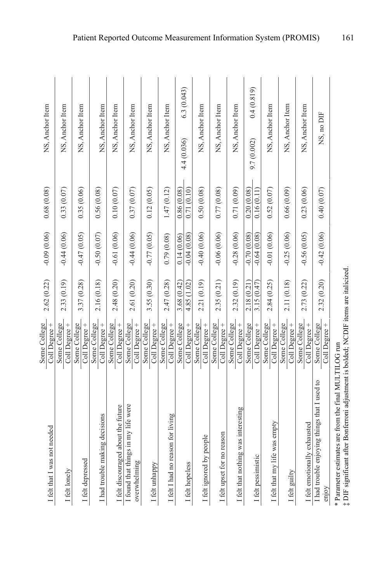| I felt that I was not needed                          | Some College<br>Coll Degree + | 2.62 (0.22)                | $-0.09(0.06)$                  | 0.68(0.08)               | NS, Anchor Item           |
|-------------------------------------------------------|-------------------------------|----------------------------|--------------------------------|--------------------------|---------------------------|
| I felt lonely                                         | Some College<br>Coll Degree + | 2.33 (0.19)                | $-0.44(0.06)$                  | 0.33(0.07)               | NS, Anchor Item           |
| I felt depressed                                      | Some College<br>Coll Degree + | 3.37 (0.28)                | $-0.47(0.05)$                  | 0.35(0.06)               | NS, Anchor Item           |
| I had trouble making decisions                        | Coll Degree +<br>Some College | 2.16 (0.18)                | $-0.50(0.07)$                  | 0.56(0.08)               | NS, Anchor Item           |
| I felt discouraged about the future                   | Some College<br>Coll Degree+  | 2.48 (0.20)                | $-0.61(0.06)$                  | 0.10(0.07)               | NS, Anchor Item           |
| I found that things in my life were<br>overwhelming   | Some College<br>Coll Degree + | 2.61 (0.20)                | $-0.44(0.06)$                  | 0.37(0.07)               | NS, Anchor Item           |
| I felt unhappy                                        | Some College<br>Coll Degree + | 3.55 (0.30)                | $-0.77(0.05)$                  | 0.12(0.05)               | NS, Anchor Item           |
| I felt I had no reason for living                     | Some College<br>Coll Degree + | 2.47 (0.28)                | 0.79(0.08)                     | 1.47(0.12)               | NS, Anchor Item           |
| I felt hopeless                                       | Some College<br>Coll Degree + | 4.85 (1.02)<br>3.68 (0.42) | $-0.04(0.08)$<br>0.14(0.06)    | 0.71(0.10)<br>0.86(0.08) | 6.3(0.043)<br>4.4 (0.036) |
| I felt ignored by people                              | Some College<br>Coll Degree + | 2.21 (0.19)                | $-0.40(0.06)$                  | 0.50(0.08)               | NS, Anchor Item           |
| I felt upset for no reason                            | Some College<br>Coll Degree + | 2.35 (0.21)                | $-0.06(0.06)$                  | 0.77(0.08)               | NS, Anchor Item           |
| I felt that nothing was interesting                   | Some College<br>Coll Degree + | 2.32 (0.19)                | $-0.28(0.06)$                  | 0.71(0.09)               | NS, Anchor Item           |
| I felt pessimistic                                    | Some College<br>Coll Degree + | 3.15(0.47)<br>2.18 (0.21)  | $-0.64(0.08)$<br>$-0.70(0.08)$ | 0.16(0.11)<br>0.20(0.08) | 0.4(0.819)<br>9.7(0.002)  |
| I felt that my life was empty                         | Some College<br>Coll Degree + | 2.84 (0.25)                | $-0.01(0.06)$                  | 0.52(0.07)               | NS, Anchor Item           |
| I felt guilty                                         | Some College<br>Coll Degree + | 2.11 (0.18)                | $-0.25(0.06)$                  | 0.66(0.09)               | NS, Anchor Item           |
| I felt emotionally exhausted                          | Some College<br>Coll Degree + | 2.73 (0.22)                | $-0.56(0.05)$                  | 0.23(0.06)               | NS, Anchor Item           |
| I had trouble enjoying things that I used to<br>enjoy | Some College<br>Coll Degree + | 2.32 (0.20)                | $-0.42(0.06)$                  | 0.40(0.07)               | NS, no DIF                |
| くく ロー・コード こうこう                                        |                               |                            |                                |                          |                           |

Patient Reported Outcome Measurement Information System (PROMIS) 161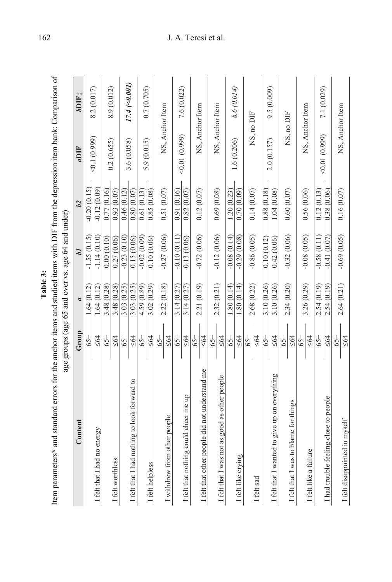| Φ       |
|---------|
| J.<br>٣ |
| ź       |
| L       |

| Item parameters* and standard errors for the anchor items and studied items with DIF from the depression item bank: Comparison of |                    |                |                                                   |               |                 |                    |
|-----------------------------------------------------------------------------------------------------------------------------------|--------------------|----------------|---------------------------------------------------|---------------|-----------------|--------------------|
|                                                                                                                                   |                    |                | age groups (age 65 and over vs. age 64 and under) |               |                 |                    |
| Content                                                                                                                           | Group              | $\overline{a}$ | bI                                                | b2            | aDIF            | bDIF <sub>1</sub>  |
|                                                                                                                                   | $65+$              | 1.64(0.12)     | $-1.55(0.15)$                                     | $-0.20(0.15)$ | (660.11)        | 8.2 (0.017)        |
| I felt that I had no energy                                                                                                       | $\leq 64$          | 1.64(0.12)     | $-1.14(0.10)$                                     | $-0.12(0.09)$ |                 |                    |
|                                                                                                                                   | $65+$              | 3.48 (0.28)    | 0.00(0.10)                                        | 0.77(0.16)    |                 | 8.9 (0.012)        |
| I felt worthless                                                                                                                  | $\leq 64$          | 3.48 (0.28)    | 0.27(0.06)                                        | 0.93(0.07)    | 0.2(0.655)      |                    |
|                                                                                                                                   | $65+$              | 3.03(0.25)     | $-0.23(0.10)$                                     | 0.46(0.12)    | 3.6 (0.058)     |                    |
| I felt that I had nothing to look forward to                                                                                      | $\leq 64$          | 3.03 (0.25)    | 0.15(0.06)                                        | 0.80(0.07)    |                 | $17.4 \; (<0.001)$ |
|                                                                                                                                   | 65+                | 4.59 (0.89)    | $-0.02(0.09)$                                     | 0.61(0.13)    | 5.9(0.015)      | 0.7(0.705)         |
| I felt helpless                                                                                                                   | $\leq 64$          | 3.02 (0.29)    | 0.10(0.06)                                        | 0.85(0.08)    |                 |                    |
|                                                                                                                                   | $-54$              | 2.22(0.18)     | $-0.27(0.06)$                                     | 0.51(0.07)    | NS, Anchor Item |                    |
| I withdrew from other people                                                                                                      | $\leq 64$          |                |                                                   |               |                 |                    |
|                                                                                                                                   | 65+                | 3.14(0.27)     | $-0.10(0.11)$                                     | 0.91(0.16)    | (6.01(0.999))   | 7.6 (0.022)        |
| I felt that nothing could cheer me up                                                                                             | $\leq 64$          | 3.14(0.27)     | 0.13(0.06)                                        | 0.82(0.07)    |                 |                    |
| I felt that other people did not understand me                                                                                    | 564<br>$65+$       | 2.21 (0.19)    | $-0.72(0.06)$                                     | 0.12(0.07)    | NS, Anchor Item |                    |
|                                                                                                                                   | $65+$              | 2.32 (0.21)    | $-0.12(0.06)$                                     | 0.69(0.08)    | NS, Anchor Item |                    |
| I felt that I was not as good as other people                                                                                     | $\leq 64$          |                |                                                   |               |                 |                    |
|                                                                                                                                   | $65+$              | 1.80(0.14)     | $-0.08(0.14)$                                     | 1.20(0.23)    | 1.6 (0.206)     | 8.6 (0.014)        |
| I felt like crying                                                                                                                | $\leq 64$          | 1.80(0.14)     | $-0.29(0.08)$                                     | 0.70(0.09)    |                 |                    |
|                                                                                                                                   | $65+$              |                |                                                   |               |                 |                    |
| I felt sad                                                                                                                        | $\leq 64$          | 2.68 (0.22)    | $-0.86(0.05)$                                     | 0.14(0.07)    | NS, no DIF      |                    |
|                                                                                                                                   | $65+$              | 3.10 (0.26)    | 0.10(0.12)                                        | 0.88(0.18)    | 2.0 (0.157)     | 9.5(0.009)         |
| I felt that I wanted to give up on everything                                                                                     | $\leq 64$          | 3.10 (0.26)    | 0.42(0.06)                                        | 1.04(0.08)    |                 |                    |
| I felt that I was to blame for things                                                                                             | $\leq 64$<br>$65+$ | 2.34 (0.20)    | $-0.32(0.06)$                                     | 0.60(0.07)    | NS, no DIF      |                    |
| I felt like a failure                                                                                                             | $65+$<br>564       | 3.26 (0.29)    | $-0.08(0.05)$                                     | 0.56 (0.06)   | NS, Anchor Item |                    |
|                                                                                                                                   | $65+$              | 2.54 (0.19)    | $-0.58(0.11)$                                     | 0.12(0.13)    |                 |                    |
| I had trouble feeling close to people                                                                                             | $\leq 64$          | 2.54 (0.19)    | $-0.41(0.07)$                                     | 0.38(0.06)    | (666.0110.09)   | 7.1 (0.029)        |
| I felt disappointed in myself                                                                                                     | $-54$<br>$\leq 64$ | 2.64(0.21)     | $-0.69(0.05)$                                     | 0.16(0.07)    | NS, Anchor Item |                    |
|                                                                                                                                   |                    |                |                                                   |               |                 |                    |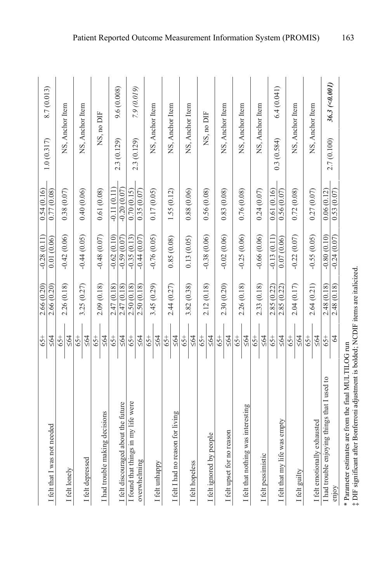| I felt that I was not needed                          | $65+$<br>$\leq 64$     | 2.66 (0.20)<br>2.66 (0.20) | $-0.28(0.11)$<br>0.01(0.06)    | 0.54(0.16)<br>0.77(0.08)       | 8.7 (0.013)<br>1.0(0.317)          |
|-------------------------------------------------------|------------------------|----------------------------|--------------------------------|--------------------------------|------------------------------------|
| I felt lonely                                         | $65+$<br>$\leq 64$     | 2.26 (0.18)                | $-0.42(0.06)$                  | 0.38(0.07)                     | NS, Anchor Item                    |
| I felt depressed                                      | $65+$<br>$\leq 64$     | 3.25 (0.27)                | $-0.44(0.05)$                  | 0.40(0.06)                     | NS, Anchor Item                    |
| I had trouble making decisions                        | $65+$<br>$\leq 64$     | 2.09 (0.18)                | $-0.48(0.07)$                  | 0.61(0.08)                     | NS, no DIF                         |
| I felt discouraged about the future                   | 65+                    | 2.47 (0.18)<br>2.47 (0.18) | $-0.62(0.10)$<br>$-0.59(0.07)$ | $-0.20(0.07)$<br>$-0.11(0.11)$ | 9.6(0.008)<br>2.3 (0.129)          |
| I found that things in my life were                   | $\leq 64$<br>$65+$     | 2.50 (0.18)                | $-0.35(0.13)$                  | 0.70(0.15)                     |                                    |
| overwhelming                                          | $\leq 64$              | 2.50 (0.18)                | $-0.44(0.07)$                  | 0.35(0.07)                     | 7.9 (0.019)<br>2.3 (0.129)         |
| I felt unhappy                                        | $65+$<br>$\leq 64$     | 3.45 (0.29)                | $-0.76(0.05)$                  | 0.17(0.05)                     | NS, Anchor Item                    |
| I felt I had no reason for living                     | $65+$<br>$\leq 64$     | 2.44 (0.27)                | 0.85(0.08)                     | 1.55(0.12)                     | NS, Anchor Item                    |
| I felt hopeless                                       | $65+$<br>$\leq 64$     | 3.82 (0.38)                | 0.13(0.05)                     | 0.88(0.06)                     | NS, Anchor Item                    |
| I felt ignored by people                              | $65+$<br>$\leq 64$     | 2.12(0.18)                 | $-0.38(0.06)$                  | 0.56(0.08)                     | NS, no DIF                         |
| I felt upset for no reason                            | $65+$<br>$\leq 64$     | 2.30 (0.20)                | $-0.02(0.06)$                  | 0.83(0.08)                     | NS, Anchor Item                    |
| I felt that nothing was interesting                   | $\leq 64$<br>$65+$     | 2.26 (0.18)                | $-0.25(0.06)$                  | 0.76 (0.08)                    | NS, Anchor Item                    |
| I felt pessimistic                                    | $\leq 64$<br>$-54$     | 2.33 (0.18)                | $-0.66(0.06)$                  | 0.24(0.07)                     | NS, Anchor Item                    |
| I felt that my life was empty                         | $65+$<br>$\leq 64$     | 2.85 (0.22)<br>2.85 (0.22) | $-0.13(0.11)$<br>0.07(0.06)    | 0.56(0.07)<br>0.61(0.16)       | 6.4(0.041)<br>0.3(0.584)           |
| I felt guilty                                         | 65+<br>$\leq 64$       | 2.04 (0.17)                | $-0.22(0.07)$                  | 0.72(0.08)                     | NS, Anchor Item                    |
| I felt emotionally exhausted                          | $65+$<br>$\leq 64$     | 2.64 (0.21)                | $-0.55(0.05)$                  | 0.27(0.07)                     | NS, Anchor Item                    |
| I had trouble enjoying things that I used to<br>enjoy | $\mathcal{L}$<br>$65+$ | 2.48 (0.18)<br>2.48 (0.18) | $-0.80(0.10)$<br>$-0.24(0.07)$ | 0.53(0.07)<br>0.06(0.12)       | $36.3$ (< $0.001$ )<br>2.7 (0.100) |
| $\Lambda$<br>.<br>د م                                 |                        |                            |                                |                                |                                    |

 $*$  Parameter estimates are from the final MULTILOG run<br> $\ddagger$  DIF significant after Bonferroni adjustment is bolded; NCDIF items are italicized. \* Parameter estimates are from the final MULTILOG run ‡ DIF significant after Bonferroni adjustment is bolded; NCDIF items are italicized.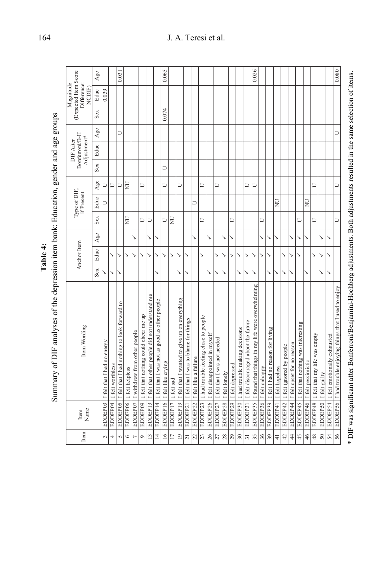|  | mon oender and age orning<br>きょう えじう ぼうきり<br>the depresence them bench Haincat<br>ĺ<br>٦<br><b>DIE</b> analysses of<br>$\frac{1}{2}$ |
|--|--------------------------------------------------------------------------------------------------------------------------------------|
|--|--------------------------------------------------------------------------------------------------------------------------------------|

|                                                            | Age          |                             |                           | 0.031                                        |                 |                              |                                       |                                                |                                               | 0.065              |                 |                                               |                                       |                       |                                       |                               |                              |               |                  |                                |                                     | 0.026                                                      |                         |                                   |                 |                                    |                                     |                                               |                              |                                        |                        |                                       | 0.080                                                      |
|------------------------------------------------------------|--------------|-----------------------------|---------------------------|----------------------------------------------|-----------------|------------------------------|---------------------------------------|------------------------------------------------|-----------------------------------------------|--------------------|-----------------|-----------------------------------------------|---------------------------------------|-----------------------|---------------------------------------|-------------------------------|------------------------------|---------------|------------------|--------------------------------|-------------------------------------|------------------------------------------------------------|-------------------------|-----------------------------------|-----------------|------------------------------------|-------------------------------------|-----------------------------------------------|------------------------------|----------------------------------------|------------------------|---------------------------------------|------------------------------------------------------------|
| (Expected Item Score<br>Magnitude<br>Difference:<br>NCDIF) | Educ         | 0.039                       |                           |                                              |                 |                              |                                       |                                                |                                               |                    |                 |                                               |                                       |                       |                                       |                               |                              |               |                  |                                |                                     |                                                            |                         |                                   |                 |                                    |                                     |                                               |                              |                                        |                        |                                       |                                                            |
|                                                            | Sex          |                             |                           |                                              |                 |                              |                                       |                                                |                                               | 0.074              |                 |                                               |                                       |                       |                                       |                               |                              |               |                  |                                |                                     |                                                            |                         |                                   |                 |                                    |                                     |                                               |                              |                                        |                        |                                       |                                                            |
|                                                            | Age          |                             |                           | D                                            |                 |                              |                                       |                                                |                                               |                    |                 |                                               |                                       |                       |                                       |                               |                              |               |                  |                                |                                     |                                                            |                         |                                   |                 |                                    |                                     |                                               |                              |                                        |                        |                                       | J                                                          |
| Bonferroni/B-H<br>Adjustment*<br>DIF After                 | Educ         |                             |                           |                                              |                 |                              |                                       |                                                |                                               |                    |                 |                                               |                                       |                       |                                       |                               |                              |               |                  |                                |                                     |                                                            |                         |                                   |                 |                                    |                                     |                                               |                              |                                        |                        |                                       |                                                            |
|                                                            | Sex          |                             |                           |                                              |                 |                              |                                       |                                                |                                               | $\cup$             |                 |                                               |                                       |                       |                                       |                               |                              |               |                  |                                |                                     |                                                            |                         |                                   |                 |                                    |                                     |                                               |                              |                                        |                        |                                       |                                                            |
|                                                            | Age          | $\cup$                      | U                         | $\Box$                                       | $\overline{z}$  |                              | D                                     |                                                |                                               | D                  |                 | Þ                                             |                                       |                       | $\Box$                                |                               | J                            |               |                  |                                | U                                   | U                                                          |                         |                                   |                 |                                    |                                     |                                               |                              | J                                      |                        |                                       | Ρ                                                          |
| Type of DIF,<br>if Present                                 | Educ         | Ρ                           |                           |                                              |                 |                              |                                       |                                                |                                               |                    |                 |                                               |                                       | J                     |                                       |                               |                              |               |                  |                                |                                     |                                                            |                         |                                   | $\overline{z}$  |                                    |                                     |                                               | $\overline{z}$               |                                        |                        |                                       |                                                            |
|                                                            | Sex          |                             |                           |                                              | $\overline{z}$  |                              | D                                     | ⊃                                              |                                               | Þ                  | $\overline{z}$  |                                               |                                       |                       | ⊐                                     |                               |                              |               | コ                |                                |                                     |                                                            | コ                       |                                   |                 |                                    |                                     | ⊃                                             |                              | Ξ                                      |                        |                                       | ⊃                                                          |
|                                                            | $_{\rm Age}$ |                             |                           |                                              |                 | ↘                            |                                       | ↘                                              | ↘                                             |                    |                 |                                               |                                       | ↘                     |                                       | ↘                             |                              | ↘             | ↘                |                                |                                     |                                                            | ↘                       | ↘                                 | ↘               |                                    | ↘                                   | ↘                                             | ↘                            |                                        | ↘                      | ↘                                     |                                                            |
| Anchor Item                                                | Educ         |                             | ↘                         | ↘                                            | ゝ               | ↘                            |                                       |                                                | ↘                                             | ↘                  | ↘               | ↘                                             | ↘                                     |                       | ↘                                     |                               | ↘                            | ↘             | ↘                | ゝ                              | ↘                                   | ↘                                                          | ↘                       | ↘                                 |                 | ↘                                  | ↘                                   | ↘                                             |                              | ↘                                      | ↘                      | ↘                                     |                                                            |
|                                                            | Sex          |                             | ↘                         | ↘                                            |                 |                              |                                       |                                                | ↘                                             |                    |                 | ↘                                             | ↘                                     |                       |                                       | ↘                             | ↘                            | ↘             |                  | ↘                              | ↘                                   | ↘                                                          |                         | ↘                                 | ↘               | ↘                                  | ↘                                   |                                               | ↘                            |                                        | ↘                      | ↘                                     |                                                            |
| Item Wording                                               |              | I felt that I had no energy | EDDEP04  I felt worthless | I felt that I had nothing to look forward to | I felt helpless | I withdrew from other people | I felt that nothing could cheer me up | I felt that other people did not understand me | I felt that I was not as good as other people | I felt like crying | I felt sad      | I felt that I wanted to give up on everything | I felt that I was to blame for things | I felt like a failure | I had trouble feeling close to people | I felt disappointed in myself | I felt that I was not needed | I felt lonely | I felt depressed | I had trouble making decisions | I felt discouraged about the future | EDDEP35   I found that things in my life were overwhelming | EDDEP36  I felt unhappy | I felt I had no reason for living | I felt hopeless | EDDEP42   I felt ignored by people | EDDEP44  I felt upset for no reason | EDDEP45   I felt that nothing was interesting | EDDEP46   I felt pessimistic | EDDEP48  I felt that my life was empty | EDDEP50  I felt guilty | EDDEP54  I felt emotionally exhausted | EDDEP56 1 had trouble enjoying things that I used to enjoy |
| Name<br>Item                                               |              | EDDEP03                     |                           | EDDEP05                                      | EDDEP06         | EDDEP07                      | EDDEP09                               | EDDEP13                                        | EDDEP14                                       | EDDEP16            | EDDEP17         | EDDEP19                                       | EDDEP21                               | EDDEP22               | EDDEP23                               | EDDEP26                       | EDDEP27                      | EDDEP28       | EDDEP29          | EDDEP30                        | EDDEP31                             |                                                            |                         | EDDEP39                           | EDDEP41         |                                    |                                     |                                               |                              |                                        |                        |                                       |                                                            |
| Item                                                       |              | $\epsilon$                  | 4                         | $\sqrt{2}$                                   | 6               | $\overline{ }$               | $\circ$                               | $\overline{13}$                                | $\overline{4}$                                | $\frac{16}{1}$     | $\overline{17}$ | $\overline{a}$                                | $\overline{c}$                        | 22                    | 23                                    | 26                            | $\mathbb{Z}7$                | $28\,$        | 29               | $30\,$                         | $\overline{31}$                     | 35                                                         | 36                      | 39                                | $\frac{1}{4}$   | $\overline{42}$                    | $\frac{4}{3}$                       | 45                                            | $\frac{46}{5}$               | 48                                     | $50\,$                 | 54                                    | 56                                                         |

\* DIF was significant after Bonferroni/Benjamini-Hochberg adjustments. Both adjustments resulted in the same selection of items. \* DIF was significant after Bonferroni/Benjamini-Hochberg adjustments. Both adjustments resulted in the same selection of items.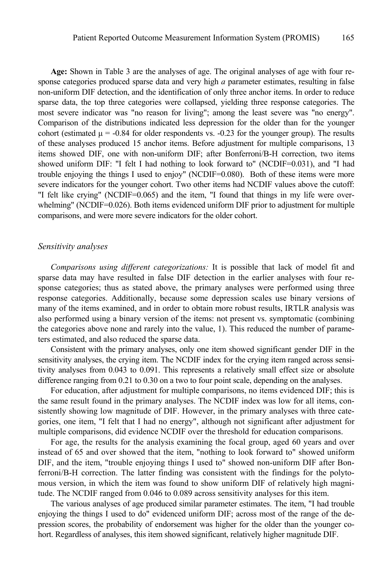**Age:** Shown in Table 3 are the analyses of age. The original analyses of age with four response categories produced sparse data and very high *a* parameter estimates, resulting in false non-uniform DIF detection, and the identification of only three anchor items. In order to reduce sparse data, the top three categories were collapsed, yielding three response categories. The most severe indicator was "no reason for living"; among the least severe was "no energy". Comparison of the distributions indicated less depression for the older than for the younger cohort (estimated  $\mu = -0.84$  for older respondents vs.  $-0.23$  for the younger group). The results of these analyses produced 15 anchor items. Before adjustment for multiple comparisons, 13 items showed DIF, one with non-uniform DIF; after Bonferroni/B-H correction, two items showed uniform DIF: "I felt I had nothing to look forward to" (NCDIF=0.031), and "I had trouble enjoying the things I used to enjoy" (NCDIF=0.080). Both of these items were more severe indicators for the younger cohort. Two other items had NCDIF values above the cutoff: "I felt like crying" (NCDIF=0.065) and the item, "I found that things in my life were overwhelming" (NCDIF=0.026). Both items evidenced uniform DIF prior to adjustment for multiple comparisons, and were more severe indicators for the older cohort.

## *Sensitivity analyses*

*Comparisons using different categorizations:* It is possible that lack of model fit and sparse data may have resulted in false DIF detection in the earlier analyses with four response categories; thus as stated above, the primary analyses were performed using three response categories. Additionally, because some depression scales use binary versions of many of the items examined, and in order to obtain more robust results, IRTLR analysis was also performed using a binary version of the items: not present vs. symptomatic (combining the categories above none and rarely into the value, 1). This reduced the number of parameters estimated, and also reduced the sparse data.

Consistent with the primary analyses, only one item showed significant gender DIF in the sensitivity analyses, the crying item. The NCDIF index for the crying item ranged across sensitivity analyses from 0.043 to 0.091. This represents a relatively small effect size or absolute difference ranging from 0.21 to 0.30 on a two to four point scale, depending on the analyses.

For education, after adjustment for multiple comparisons, no items evidenced DIF; this is the same result found in the primary analyses. The NCDIF index was low for all items, consistently showing low magnitude of DIF. However, in the primary analyses with three categories, one item, "I felt that I had no energy", although not significant after adjustment for multiple comparisons, did evidence NCDIF over the threshold for education comparisons.

For age, the results for the analysis examining the focal group, aged 60 years and over instead of 65 and over showed that the item, "nothing to look forward to" showed uniform DIF, and the item, "trouble enjoying things I used to" showed non-uniform DIF after Bonferroni/B-H correction. The latter finding was consistent with the findings for the polytomous version, in which the item was found to show uniform DIF of relatively high magnitude. The NCDIF ranged from 0.046 to 0.089 across sensitivity analyses for this item.

The various analyses of age produced similar parameter estimates. The item, "I had trouble enjoying the things I used to do" evidenced uniform DIF; across most of the range of the depression scores, the probability of endorsement was higher for the older than the younger cohort. Regardless of analyses, this item showed significant, relatively higher magnitude DIF.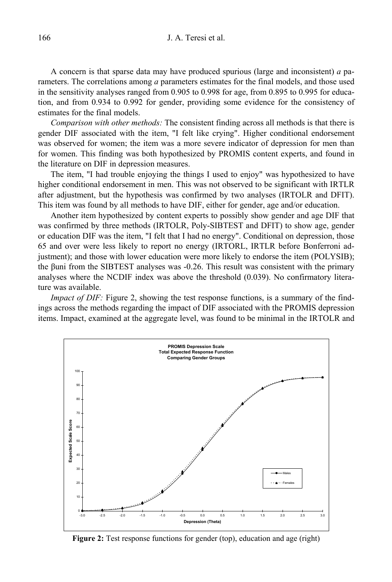#### 166 J. A. Teresi et al.

A concern is that sparse data may have produced spurious (large and inconsistent) *a* parameters. The correlations among *a* parameters estimates for the final models, and those used in the sensitivity analyses ranged from 0.905 to 0.998 for age, from 0.895 to 0.995 for education, and from 0.934 to 0.992 for gender, providing some evidence for the consistency of estimates for the final models.

*Comparison with other methods:* The consistent finding across all methods is that there is gender DIF associated with the item, "I felt like crying". Higher conditional endorsement was observed for women; the item was a more severe indicator of depression for men than for women. This finding was both hypothesized by PROMIS content experts, and found in the literature on DIF in depression measures.

The item, "I had trouble enjoying the things I used to enjoy" was hypothesized to have higher conditional endorsement in men. This was not observed to be significant with IRTLR after adjustment, but the hypothesis was confirmed by two analyses (IRTOLR and DFIT). This item was found by all methods to have DIF, either for gender, age and/or education.

Another item hypothesized by content experts to possibly show gender and age DIF that was confirmed by three methods (IRTOLR, Poly-SIBTEST and DFIT) to show age, gender or education DIF was the item, "I felt that I had no energy". Conditional on depression, those 65 and over were less likely to report no energy (IRTORL, IRTLR before Bonferroni adjustment); and those with lower education were more likely to endorse the item (POLYSIB); the βuni from the SIBTEST analyses was -0.26. This result was consistent with the primary analyses where the NCDIF index was above the threshold (0.039). No confirmatory literature was available.

*Impact of DIF:* Figure 2, showing the test response functions, is a summary of the findings across the methods regarding the impact of DIF associated with the PROMIS depression items. Impact, examined at the aggregate level, was found to be minimal in the IRTOLR and



**Figure 2:** Test response functions for gender (top), education and age (right)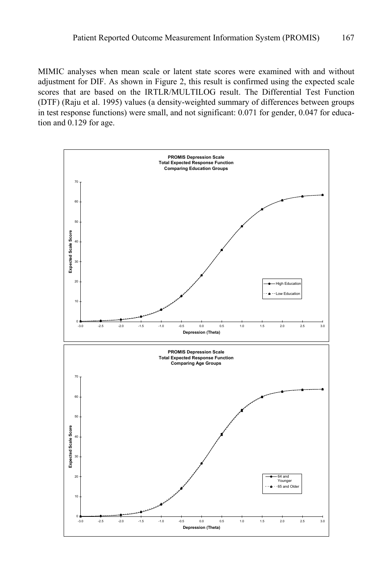MIMIC analyses when mean scale or latent state scores were examined with and without adjustment for DIF. As shown in Figure 2, this result is confirmed using the expected scale scores that are based on the IRTLR/MULTILOG result. The Differential Test Function (DTF) (Raju et al. 1995) values (a density-weighted summary of differences between groups in test response functions) were small, and not significant: 0.071 for gender, 0.047 for education and 0.129 for age.

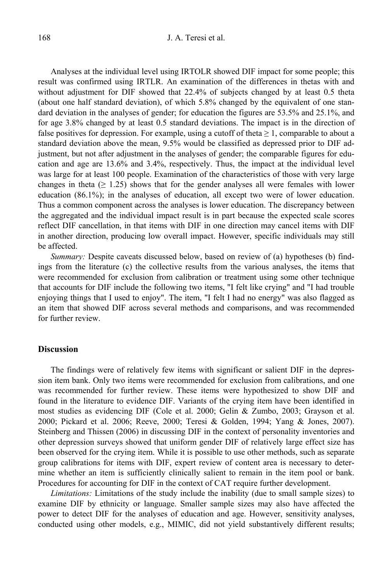Analyses at the individual level using IRTOLR showed DIF impact for some people; this result was confirmed using IRTLR. An examination of the differences in thetas with and without adjustment for DIF showed that 22.4% of subjects changed by at least 0.5 theta (about one half standard deviation), of which 5.8% changed by the equivalent of one standard deviation in the analyses of gender; for education the figures are 53.5% and 25.1%, and for age 3.8% changed by at least 0.5 standard deviations. The impact is in the direction of false positives for depression. For example, using a cutoff of theta  $\geq 1$ , comparable to about a standard deviation above the mean, 9.5% would be classified as depressed prior to DIF adjustment, but not after adjustment in the analyses of gender; the comparable figures for education and age are 13.6% and 3.4%, respectively. Thus, the impact at the individual level was large for at least 100 people. Examination of the characteristics of those with very large changes in theta ( $\geq 1.25$ ) shows that for the gender analyses all were females with lower education (86.1%); in the analyses of education, all except two were of lower education. Thus a common component across the analyses is lower education. The discrepancy between the aggregated and the individual impact result is in part because the expected scale scores reflect DIF cancellation, in that items with DIF in one direction may cancel items with DIF in another direction, producing low overall impact. However, specific individuals may still be affected.

*Summary:* Despite caveats discussed below, based on review of (a) hypotheses (b) findings from the literature (c) the collective results from the various analyses, the items that were recommended for exclusion from calibration or treatment using some other technique that accounts for DIF include the following two items, "I felt like crying" and "I had trouble enjoying things that I used to enjoy". The item, "I felt I had no energy" was also flagged as an item that showed DIF across several methods and comparisons, and was recommended for further review.

#### **Discussion**

The findings were of relatively few items with significant or salient DIF in the depression item bank. Only two items were recommended for exclusion from calibrations, and one was recommended for further review. These items were hypothesized to show DIF and found in the literature to evidence DIF. Variants of the crying item have been identified in most studies as evidencing DIF (Cole et al. 2000; Gelin & Zumbo, 2003; Grayson et al. 2000; Pickard et al. 2006; Reeve, 2000; Teresi & Golden, 1994; Yang & Jones, 2007). Steinberg and Thissen (2006) in discussing DIF in the context of personality inventories and other depression surveys showed that uniform gender DIF of relatively large effect size has been observed for the crying item. While it is possible to use other methods, such as separate group calibrations for items with DIF, expert review of content area is necessary to determine whether an item is sufficiently clinically salient to remain in the item pool or bank. Procedures for accounting for DIF in the context of CAT require further development.

*Limitations:* Limitations of the study include the inability (due to small sample sizes) to examine DIF by ethnicity or language. Smaller sample sizes may also have affected the power to detect DIF for the analyses of education and age. However, sensitivity analyses, conducted using other models, e.g., MIMIC, did not yield substantively different results;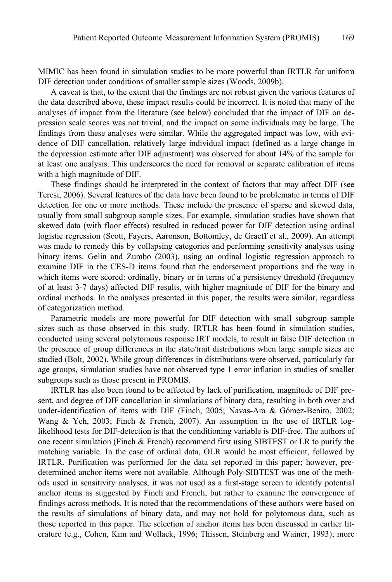MIMIC has been found in simulation studies to be more powerful than IRTLR for uniform DIF detection under conditions of smaller sample sizes (Woods, 2009b).

A caveat is that, to the extent that the findings are not robust given the various features of the data described above, these impact results could be incorrect. It is noted that many of the analyses of impact from the literature (see below) concluded that the impact of DIF on depression scale scores was not trivial, and the impact on some individuals may be large. The findings from these analyses were similar. While the aggregated impact was low, with evidence of DIF cancellation, relatively large individual impact (defined as a large change in the depression estimate after DIF adjustment) was observed for about 14% of the sample for at least one analysis. This underscores the need for removal or separate calibration of items with a high magnitude of DIF.

These findings should be interpreted in the context of factors that may affect DIF (see Teresi, 2006). Several features of the data have been found to be problematic in terms of DIF detection for one or more methods. These include the presence of sparse and skewed data, usually from small subgroup sample sizes. For example, simulation studies have shown that skewed data (with floor effects) resulted in reduced power for DIF detection using ordinal logistic regression (Scott, Fayers, Aaronson, Bottomley, de Graeff et al., 2009). An attempt was made to remedy this by collapsing categories and performing sensitivity analyses using binary items. Gelin and Zumbo (2003), using an ordinal logistic regression approach to examine DIF in the CES-D items found that the endorsement proportions and the way in which items were scored: ordinally, binary or in terms of a persistency threshold (frequency of at least 3-7 days) affected DIF results, with higher magnitude of DIF for the binary and ordinal methods. In the analyses presented in this paper, the results were similar, regardless of categorization method.

Parametric models are more powerful for DIF detection with small subgroup sample sizes such as those observed in this study. IRTLR has been found in simulation studies, conducted using several polytomous response IRT models, to result in false DIF detection in the presence of group differences in the state/trait distributions when large sample sizes are studied (Bolt, 2002). While group differences in distributions were observed, particularly for age groups, simulation studies have not observed type 1 error inflation in studies of smaller subgroups such as those present in PROMIS.

IRTLR has also been found to be affected by lack of purification, magnitude of DIF present, and degree of DIF cancellation in simulations of binary data, resulting in both over and under-identification of items with DIF (Finch, 2005; Navas-Ara & Gómez-Benito, 2002; Wang & Yeh, 2003; Finch & French, 2007). An assumption in the use of IRTLR loglikelihood tests for DIF-detection is that the conditioning variable is DIF-free. The authors of one recent simulation (Finch & French) recommend first using SIBTEST or LR to purify the matching variable. In the case of ordinal data, OLR would be most efficient, followed by IRTLR. Purification was performed for the data set reported in this paper; however, predetermined anchor items were not available. Although Poly-SIBTEST was one of the methods used in sensitivity analyses, it was not used as a first-stage screen to identify potential anchor items as suggested by Finch and French, but rather to examine the convergence of findings across methods. It is noted that the recommendations of these authors were based on the results of simulations of binary data, and may not hold for polytomous data, such as those reported in this paper. The selection of anchor items has been discussed in earlier literature (e.g., Cohen, Kim and Wollack, 1996; Thissen, Steinberg and Wainer, 1993); more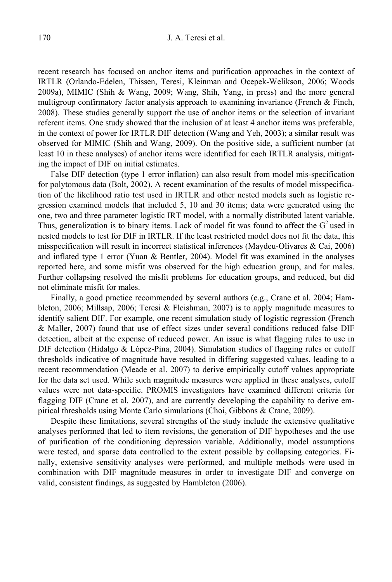recent research has focused on anchor items and purification approaches in the context of IRTLR (Orlando-Edelen, Thissen, Teresi, Kleinman and Ocepek-Welikson, 2006; Woods 2009a), MIMIC (Shih & Wang, 2009; Wang, Shih, Yang, in press) and the more general multigroup confirmatory factor analysis approach to examining invariance (French  $\&$  Finch, 2008). These studies generally support the use of anchor items or the selection of invariant referent items. One study showed that the inclusion of at least 4 anchor items was preferable, in the context of power for IRTLR DIF detection (Wang and Yeh, 2003); a similar result was observed for MIMIC (Shih and Wang, 2009). On the positive side, a sufficient number (at least 10 in these analyses) of anchor items were identified for each IRTLR analysis, mitigating the impact of DIF on initial estimates.

False DIF detection (type 1 error inflation) can also result from model mis-specification for polytomous data (Bolt, 2002). A recent examination of the results of model misspecification of the likelihood ratio test used in IRTLR and other nested models such as logistic regression examined models that included 5, 10 and 30 items; data were generated using the one, two and three parameter logistic IRT model, with a normally distributed latent variable. Thus, generalization is to binary items. Lack of model fit was found to affect the  $G<sup>2</sup>$  used in nested models to test for DIF in IRTLR. If the least restricted model does not fit the data, this misspecification will result in incorrect statistical inferences (Maydeu-Olivares & Cai, 2006) and inflated type 1 error (Yuan & Bentler, 2004). Model fit was examined in the analyses reported here, and some misfit was observed for the high education group, and for males. Further collapsing resolved the misfit problems for education groups, and reduced, but did not eliminate misfit for males.

Finally, a good practice recommended by several authors (e.g., Crane et al. 2004; Hambleton, 2006; Millsap, 2006; Teresi & Fleishman, 2007) is to apply magnitude measures to identify salient DIF. For example, one recent simulation study of logistic regression (French & Maller, 2007) found that use of effect sizes under several conditions reduced false DIF detection, albeit at the expense of reduced power. An issue is what flagging rules to use in DIF detection (Hidalgo & López-Pina, 2004). Simulation studies of flagging rules or cutoff thresholds indicative of magnitude have resulted in differing suggested values, leading to a recent recommendation (Meade et al. 2007) to derive empirically cutoff values appropriate for the data set used. While such magnitude measures were applied in these analyses, cutoff values were not data-specific. PROMIS investigators have examined different criteria for flagging DIF (Crane et al. 2007), and are currently developing the capability to derive empirical thresholds using Monte Carlo simulations (Choi, Gibbons & Crane, 2009).

Despite these limitations, several strengths of the study include the extensive qualitative analyses performed that led to item revisions, the generation of DIF hypotheses and the use of purification of the conditioning depression variable. Additionally, model assumptions were tested, and sparse data controlled to the extent possible by collapsing categories. Finally, extensive sensitivity analyses were performed, and multiple methods were used in combination with DIF magnitude measures in order to investigate DIF and converge on valid, consistent findings, as suggested by Hambleton (2006).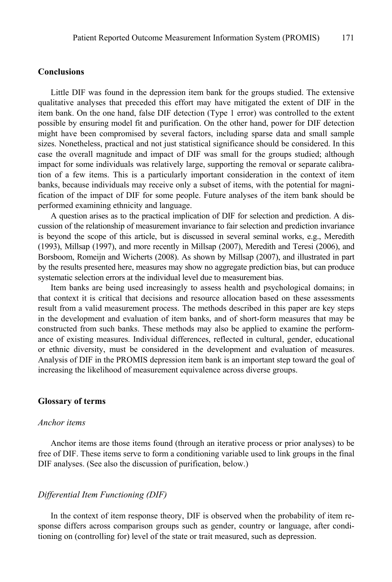# **Conclusions**

Little DIF was found in the depression item bank for the groups studied. The extensive qualitative analyses that preceded this effort may have mitigated the extent of DIF in the item bank. On the one hand, false DIF detection (Type 1 error) was controlled to the extent possible by ensuring model fit and purification. On the other hand, power for DIF detection might have been compromised by several factors, including sparse data and small sample sizes. Nonetheless, practical and not just statistical significance should be considered. In this case the overall magnitude and impact of DIF was small for the groups studied; although impact for some individuals was relatively large, supporting the removal or separate calibration of a few items. This is a particularly important consideration in the context of item banks, because individuals may receive only a subset of items, with the potential for magnification of the impact of DIF for some people. Future analyses of the item bank should be performed examining ethnicity and language.

A question arises as to the practical implication of DIF for selection and prediction. A discussion of the relationship of measurement invariance to fair selection and prediction invariance is beyond the scope of this article, but is discussed in several seminal works, e.g., Meredith (1993), Millsap (1997), and more recently in Millsap (2007), Meredith and Teresi (2006), and Borsboom, Romeijn and Wicherts (2008). As shown by Millsap (2007), and illustrated in part by the results presented here, measures may show no aggregate prediction bias, but can produce systematic selection errors at the individual level due to measurement bias.

Item banks are being used increasingly to assess health and psychological domains; in that context it is critical that decisions and resource allocation based on these assessments result from a valid measurement process. The methods described in this paper are key steps in the development and evaluation of item banks, and of short-form measures that may be constructed from such banks. These methods may also be applied to examine the performance of existing measures. Individual differences, reflected in cultural, gender, educational or ethnic diversity, must be considered in the development and evaluation of measures. Analysis of DIF in the PROMIS depression item bank is an important step toward the goal of increasing the likelihood of measurement equivalence across diverse groups.

#### **Glossary of terms**

#### *Anchor items*

Anchor items are those items found (through an iterative process or prior analyses) to be free of DIF. These items serve to form a conditioning variable used to link groups in the final DIF analyses. (See also the discussion of purification, below.)

## *Differential Item Functioning (DIF)*

In the context of item response theory, DIF is observed when the probability of item response differs across comparison groups such as gender, country or language, after conditioning on (controlling for) level of the state or trait measured, such as depression.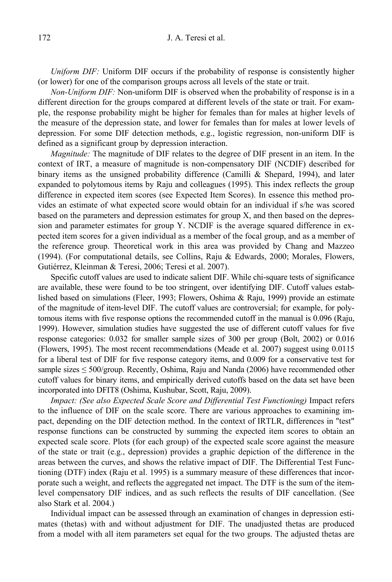*Uniform DIF:* Uniform DIF occurs if the probability of response is consistently higher (or lower) for one of the comparison groups across all levels of the state or trait.

*Non-Uniform DIF:* Non-uniform DIF is observed when the probability of response is in a different direction for the groups compared at different levels of the state or trait. For example, the response probability might be higher for females than for males at higher levels of the measure of the depression state, and lower for females than for males at lower levels of depression. For some DIF detection methods, e.g., logistic regression, non-uniform DIF is defined as a significant group by depression interaction.

*Magnitude:* The magnitude of DIF relates to the degree of DIF present in an item. In the context of IRT, a measure of magnitude is non-compensatory DIF (NCDIF) described for binary items as the unsigned probability difference (Camilli  $&$  Shepard, 1994), and later expanded to polytomous items by Raju and colleagues (1995). This index reflects the group difference in expected item scores (see Expected Item Scores). In essence this method provides an estimate of what expected score would obtain for an individual if s/he was scored based on the parameters and depression estimates for group X, and then based on the depression and parameter estimates for group Y. NCDIF is the average squared difference in expected item scores for a given individual as a member of the focal group, and as a member of the reference group. Theoretical work in this area was provided by Chang and Mazzeo (1994). (For computational details, see Collins, Raju & Edwards, 2000; Morales, Flowers, Gutiérrez, Kleinman & Teresi, 2006; Teresi et al. 2007).

Specific cutoff values are used to indicate salient DIF. While chi-square tests of significance are available, these were found to be too stringent, over identifying DIF. Cutoff values established based on simulations (Fleer, 1993; Flowers, Oshima & Raju, 1999) provide an estimate of the magnitude of item-level DIF. The cutoff values are controversial; for example, for polytomous items with five response options the recommended cutoff in the manual is 0.096 (Raju, 1999). However, simulation studies have suggested the use of different cutoff values for five response categories: 0.032 for smaller sample sizes of 300 per group (Bolt, 2002) or 0.016 (Flowers, 1995). The most recent recommendations (Meade et al. 2007) suggest using 0.0115 for a liberal test of DIF for five response category items, and 0.009 for a conservative test for sample sizes  $\leq 500$ /group. Recently, Oshima, Raju and Nanda (2006) have recommended other cutoff values for binary items, and empirically derived cutoffs based on the data set have been incorporated into DFIT8 (Oshima, Kushubar, Scott, Raju, 2009).

*Impact: (See also Expected Scale Score and Differential Test Functioning)* Impact refers to the influence of DIF on the scale score. There are various approaches to examining impact, depending on the DIF detection method. In the context of IRTLR, differences in "test" response functions can be constructed by summing the expected item scores to obtain an expected scale score. Plots (for each group) of the expected scale score against the measure of the state or trait (e.g., depression) provides a graphic depiction of the difference in the areas between the curves, and shows the relative impact of DIF. The Differential Test Functioning (DTF) index (Raju et al. 1995) is a summary measure of these differences that incorporate such a weight, and reflects the aggregated net impact. The DTF is the sum of the itemlevel compensatory DIF indices, and as such reflects the results of DIF cancellation. (See also Stark et al. 2004.)

Individual impact can be assessed through an examination of changes in depression estimates (thetas) with and without adjustment for DIF. The unadjusted thetas are produced from a model with all item parameters set equal for the two groups. The adjusted thetas are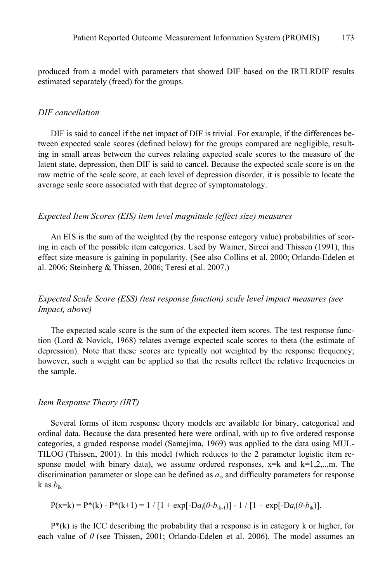produced from a model with parameters that showed DIF based on the IRTLRDIF results estimated separately (freed) for the groups.

#### *DIF cancellation*

DIF is said to cancel if the net impact of DIF is trivial. For example, if the differences between expected scale scores (defined below) for the groups compared are negligible, resulting in small areas between the curves relating expected scale scores to the measure of the latent state, depression, then DIF is said to cancel. Because the expected scale score is on the raw metric of the scale score, at each level of depression disorder, it is possible to locate the average scale score associated with that degree of symptomatology.

## *Expected Item Scores (EIS) item level magnitude (effect size) measures*

An EIS is the sum of the weighted (by the response category value) probabilities of scoring in each of the possible item categories. Used by Wainer, Sireci and Thissen (1991), this effect size measure is gaining in popularity. (See also Collins et al. 2000; Orlando-Edelen et al. 2006; Steinberg & Thissen, 2006; Teresi et al. 2007.)

# *Expected Scale Score (ESS) (test response function) scale level impact measures (see Impact, above)*

The expected scale score is the sum of the expected item scores. The test response function (Lord & Novick, 1968) relates average expected scale scores to theta (the estimate of depression). Note that these scores are typically not weighted by the response frequency; however, such a weight can be applied so that the results reflect the relative frequencies in the sample.

## *Item Response Theory (IRT)*

Several forms of item response theory models are available for binary, categorical and ordinal data. Because the data presented here were ordinal, with up to five ordered response categories, a graded response model (Samejima, 1969) was applied to the data using MUL-TILOG (Thissen, 2001). In this model (which reduces to the 2 parameter logistic item response model with binary data), we assume ordered responses,  $x=k$  and  $k=1,2,...$ m. The discrimination parameter or slope can be defined as *a*i, and difficulty parameters for response k as  $b_{ik}$ .

$$
P(x=k) = P^{*}(k) - P^{*}(k+1) = 1 / [1 + exp[-Da_{i}(\theta - b_{ik-1})] - 1 / [1 + exp[-Da_{i}(\theta - b_{ik})].
$$

 $P^*(k)$  is the ICC describing the probability that a response is in category k or higher, for each value of *θ* (see Thissen, 2001; Orlando-Edelen et al. 2006). The model assumes an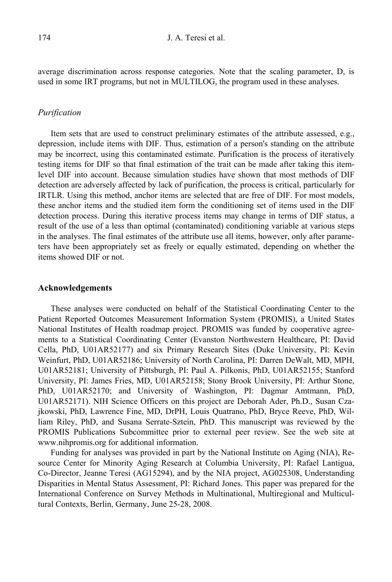average discrimination across response categories. Note that the scaling parameter, D, is used in some IRT programs, but not in MULTILOG, the program used in these analyses.

## *Purification*

Item sets that are used to construct preliminary estimates of the attribute assessed, e.g., depression, include items with DIF. Thus, estimation of a person's standing on the attribute may be incorrect, using this contaminated estimate. Purification is the process of iteratively testing items for DIF so that final estimation of the trait can be made after taking this itemlevel DIF into account. Because simulation studies have shown that most methods of DIF detection are adversely affected by lack of purification, the process is critical, particularly for IRTLR. Using this method, anchor items are selected that are free of DIF. For most models, these anchor items and the studied item form the conditioning set of items used in the DIF detection process. During this iterative process items may change in terms of DIF status, a result of the use of a less than optimal (contaminated) conditioning variable at various steps in the analyses. The final estimates of the attribute use all items, however, only after parameters have been appropriately set as freely or equally estimated, depending on whether the items showed DIF or not.

#### **Acknowledgements**

These analyses were conducted on behalf of the Statistical Coordinating Center to the Patient Reported Outcomes Measurement Information System (PROMIS), a United States National Institutes of Health roadmap project. PROMIS was funded by cooperative agreements to a Statistical Coordinating Center (Evanston Northwestern Healthcare, PI: David Cella, PhD, U01AR52177) and six Primary Research Sites (Duke University, PI: Kevin Weinfurt, PhD, U01AR52186; University of North Carolina, PI: Darren DeWalt, MD, MPH, U01AR52181; University of Pittsburgh, PI: Paul A. Pilkonis, PhD, U01AR52155; Stanford University, PI: James Fries, MD, U01AR52158; Stony Brook University, PI: Arthur Stone, PhD, U01AR52170; and University of Washington, PI: Dagmar Amtmann, PhD, U01AR52171). NIH Science Officers on this project are Deborah Ader, Ph.D., Susan Czajkowski, PhD, Lawrence Fine, MD, DrPH, Louis Quatrano, PhD, Bryce Reeve, PhD, William Riley, PhD, and Susana Serrate-Sztein, PhD. This manuscript was reviewed by the PROMIS Publications Subcommittee prior to external peer review. See the web site at www.nihpromis.org for additional information.

Funding for analyses was provided in part by the National Institute on Aging (NIA), Resource Center for Minority Aging Research at Columbia University, PI: Rafael Lantigua, Co-Director, Jeanne Teresi (AG15294), and by the NIA project, AG025308, Understanding Disparities in Mental Status Assessment, PI: Richard Jones. This paper was prepared for the International Conference on Survey Methods in Multinational, Multiregional and Multicultural Contexts, Berlin, Germany, June 25-28, 2008.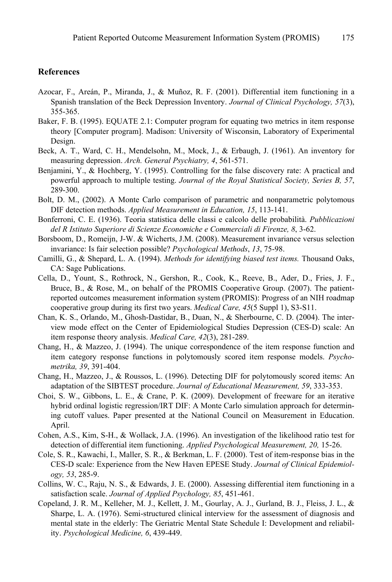## **References**

- Azocar, F., Areán, P., Miranda, J., & Muñoz, R. F. (2001). Differential item functioning in a Spanish translation of the Beck Depression Inventory. *Journal of Clinical Psychology, 57*(3), 355-365.
- Baker, F. B. (1995). EQUATE 2.1: Computer program for equating two metrics in item response theory [Computer program]. Madison: University of Wisconsin, Laboratory of Experimental Design.
- Beck, A. T., Ward, C. H., Mendelsohn, M., Mock, J., & Erbaugh, J. (1961). An inventory for measuring depression. *Arch. General Psychiatry, 4*, 561-571.
- Benjamini, Y., & Hochberg, Y. (1995). Controlling for the false discovery rate: A practical and powerful approach to multiple testing. *Journal of the Royal Statistical Society, Series B, 57*, 289-300.
- Bolt, D. M., (2002). A Monte Carlo comparison of parametric and nonparametric polytomous DIF detection methods. *Applied Measurement in Education, 15*, 113-141.
- Bonferroni, C. E. (1936). Teoria statistica delle classi e calcolo delle probabilità. *Pubblicazioni del R Istituto Superiore di Scienze Economiche e Commerciali di Firenze, 8*, 3-62.
- Borsboom, D., Romeijn, J-W. & Wicherts, J.M. (2008). Measurement invariance versus selection invariance: Is fair selection possible? *Psychological Methods*, *13*, 75-98.
- Camilli, G., & Shepard, L. A. (1994). *Methods for identifying biased test items.* Thousand Oaks, CA: Sage Publications.
- Cella, D., Yount, S., Rothrock, N., Gershon, R., Cook, K., Reeve, B., Ader, D., Fries, J. F., Bruce, B., & Rose, M., on behalf of the PROMIS Cooperative Group. (2007). The patientreported outcomes measurement information system (PROMIS): Progress of an NIH roadmap cooperative group during its first two years. *Medical Care, 45*(5 Suppl 1), S3-S11.
- Chan, K. S., Orlando, M., Ghosh-Dastidar, B., Duan, N., & Sherbourne, C. D. (2004). The interview mode effect on the Center of Epidemiological Studies Depression (CES-D) scale: An item response theory analysis. *Medical Care, 42*(3), 281-289.
- Chang, H., & Mazzeo, J. (1994). The unique correspondence of the item response function and item category response functions in polytomously scored item response models. *Psychometrika, 39*, 391-404.
- Chang, H., Mazzeo, J., & Roussos, L. (1996). Detecting DIF for polytomously scored items: An adaptation of the SIBTEST procedure. *Journal of Educational Measurement, 59*, 333-353.
- Choi, S. W., Gibbons, L. E., & Crane, P. K. (2009). Development of freeware for an iterative hybrid ordinal logistic regression/IRT DIF: A Monte Carlo simulation approach for determining cutoff values. Paper presented at the National Council on Measurement in Education. April.
- Cohen, A.S., Kim, S-H., & Wollack, J.A. (1996). An investigation of the likelihood ratio test for detection of differential item functioning. *Applied Psychological Measurement, 20,* 15-26.
- Cole, S. R., Kawachi, I., Maller, S. R., & Berkman, L. F. (2000). Test of item-response bias in the CES-D scale: Experience from the New Haven EPESE Study. *Journal of Clinical Epidemiology, 53*, 285-9.
- Collins, W. C., Raju, N. S., & Edwards, J. E. (2000). Assessing differential item functioning in a satisfaction scale. *Journal of Applied Psychology, 85*, 451-461.
- Copeland, J. R. M., Kelleher, M. J., Kellett, J. M., Gourlay, A. J., Gurland, B. J., Fleiss, J. L., & Sharpe, L. A. (1976). Semi-structured clinical interview for the assessment of diagnosis and mental state in the elderly: The Geriatric Mental State Schedule I: Development and reliability. *Psychological Medicine, 6*, 439-449.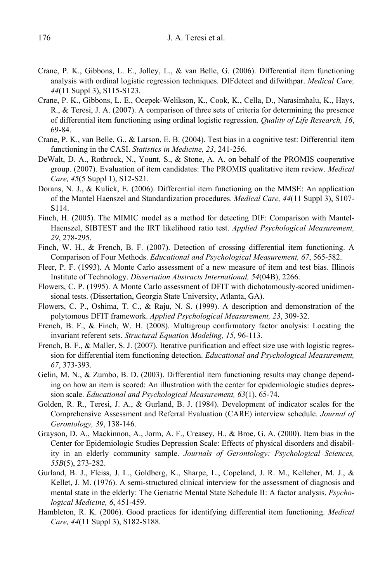- Crane, P. K., Gibbons, L. E., Jolley, L., & van Belle, G. (2006). Differential item functioning analysis with ordinal logistic regression techniques. DIFdetect and difwithpar. *Medical Care, 44*(11 Suppl 3), S115-S123.
- Crane, P. K., Gibbons, L. E., Ocepek-Welikson, K., Cook, K., Cella, D., Narasimhalu, K., Hays, R., & Teresi, J. A. (2007). A comparison of three sets of criteria for determining the presence of differential item functioning using ordinal logistic regression. *Quality of Life Research, 16*, 69-84.
- Crane, P. K., van Belle, G., & Larson, E. B. (2004). Test bias in a cognitive test: Differential item functioning in the CASI. *Statistics in Medicine, 23*, 241-256.
- DeWalt, D. A., Rothrock, N., Yount, S., & Stone, A. A. on behalf of the PROMIS cooperative group. (2007). Evaluation of item candidates: The PROMIS qualitative item review. *Medical Care, 45*(5 Suppl 1), S12-S21.
- Dorans, N. J., & Kulick, E. (2006). Differential item functioning on the MMSE: An application of the Mantel Haenszel and Standardization procedures. *Medical Care, 44*(11 Suppl 3), S107- S114.
- Finch, H. (2005). The MIMIC model as a method for detecting DIF: Comparison with Mantel-Haenszel, SIBTEST and the IRT likelihood ratio test. *Applied Psychological Measurement, 29*, 278-295.
- Finch, W. H., & French, B. F. (2007). Detection of crossing differential item functioning. A Comparison of Four Methods. *Educational and Psychological Measurement, 67*, 565-582.
- Fleer, P. F. (1993). A Monte Carlo assessment of a new measure of item and test bias. Illinois Institute of Technology. *Dissertation Abstracts International, 54*(04B), 2266.
- Flowers, C. P. (1995). A Monte Carlo assessment of DFIT with dichotomously-scored unidimensional tests. (Dissertation, Georgia State University, Atlanta, GA).
- Flowers, C. P., Oshima, T. C., & Raju, N. S. (1999). A description and demonstration of the polytomous DFIT framework. *Applied Psychological Measurement, 23*, 309-32.
- French, B. F., & Finch, W. H. (2008). Multigroup confirmatory factor analysis: Locating the invariant referent sets. *Structural Equation Modeling, 15,* 96-113.
- French, B. F., & Maller, S. J. (2007). Iterative purification and effect size use with logistic regression for differential item functioning detection. *Educational and Psychological Measurement, 67*, 373-393.
- Gelin, M. N., & Zumbo, B. D. (2003). Differential item functioning results may change depending on how an item is scored: An illustration with the center for epidemiologic studies depression scale. *Educational and Psychological Measurement, 63*(1), 65-74.
- Golden, R. R., Teresi, J. A., & Gurland, B. J. (1984). Development of indicator scales for the Comprehensive Assessment and Referral Evaluation (CARE) interview schedule. *Journal of Gerontology, 39*, 138-146.
- Grayson, D. A., Mackinnon, A., Jorm, A. F., Creasey, H., & Broe, G. A. (2000). Item bias in the Center for Epidemiologic Studies Depression Scale: Effects of physical disorders and disability in an elderly community sample. *Journals of Gerontology: Psychological Sciences, 55B*(5), 273-282.
- Gurland, B. J., Fleiss, J. L., Goldberg, K., Sharpe, L., Copeland, J. R. M., Kelleher, M. J., & Kellet, J. M. (1976). A semi-structured clinical interview for the assessment of diagnosis and mental state in the elderly: The Geriatric Mental State Schedule II: A factor analysis. *Psychological Medicine, 6*, 451-459.
- Hambleton, R. K. (2006). Good practices for identifying differential item functioning. *Medical Care, 44*(11 Suppl 3), S182-S188.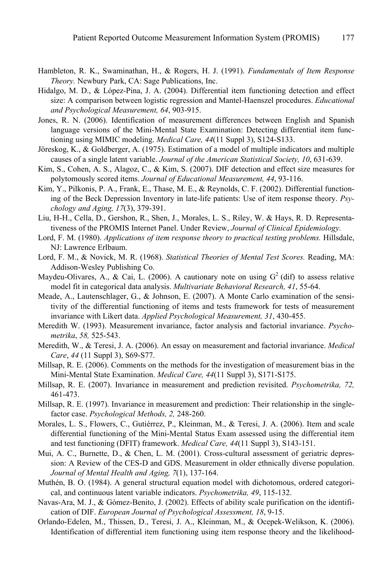- Hambleton, R. K., Swaminathan, H., & Rogers, H. J. (1991). *Fundamentals of Item Response Theory.* Newbury Park, CA: Sage Publications, Inc.
- Hidalgo, M. D., & López-Pina, J. A. (2004). Differential item functioning detection and effect size: A comparison between logistic regression and Mantel-Haenszel procedures. *Educational and Psychological Measurement, 64*, 903-915.
- Jones, R. N. (2006). Identification of measurement differences between English and Spanish language versions of the Mini-Mental State Examination: Detecting differential item functioning using MIMIC modeling. *Medical Care, 44*(11 Suppl 3), S124-S133.
- Jöreskog, K., & Goldberger, A. (1975). Estimation of a model of multiple indicators and multiple causes of a single latent variable. *Journal of the American Statistical Society, 10*, 631-639.
- Kim, S., Cohen, A. S., Alagoz, C., & Kim, S. (2007). DIF detection and effect size measures for polytomously scored items. *Journal of Educational Measurement, 44*, 93-116.
- Kim, Y., Pilkonis, P. A., Frank, E., Thase, M. E., & Reynolds, C. F. (2002). Differential functioning of the Beck Depression Inventory in late-life patients: Use of item response theory. *Psychology and Aging, 17*(3), 379-391.
- Liu, H-H., Cella, D., Gershon, R., Shen, J., Morales, L. S., Riley, W. & Hays, R. D. Representativeness of the PROMIS Internet Panel. Under Review, *Journal of Clinical Epidemiology.*
- Lord, F. M. (1980). *Applications of item response theory to practical testing problems.* Hillsdale, NJ: Lawrence Erlbaum.
- Lord, F. M., & Novick, M. R. (1968). *Statistical Theories of Mental Test Scores.* Reading, MA: Addison-Wesley Publishing Co.
- Maydeu-Olivares, A., & Cai, L. (2006). A cautionary note on using  $G^2$  (dif) to assess relative model fit in categorical data analysis. *Multivariate Behavioral Research, 41*, 55-64.
- Meade, A., Lautenschlager, G., & Johnson, E. (2007). A Monte Carlo examination of the sensitivity of the differential functioning of items and tests framework for tests of measurement invariance with Likert data. *Applied Psychological Measurement, 31*, 430-455.
- Meredith W. (1993). Measurement invariance, factor analysis and factorial invariance. *Psychometrika*, *58,* 525-543.
- Meredith, W., & Teresi, J. A. (2006). An essay on measurement and factorial invariance. *Medical Care*, *44* (11 Suppl 3), S69-S77.
- Millsap, R. E. (2006). Comments on the methods for the investigation of measurement bias in the Mini-Mental State Examination. *Medical Care, 44*(11 Suppl 3), S171-S175.
- Millsap, R. E. (2007). Invariance in measurement and prediction revisited. *Psychometrika, 72,* 461-473.
- Millsap, R. E. (1997). Invariance in measurement and prediction: Their relationship in the singlefactor case. *Psychological Methods, 2,* 248-260.
- Morales, L. S., Flowers, C., Gutiérrez, P., Kleinman, M., & Teresi, J. A. (2006). Item and scale differential functioning of the Mini-Mental Status Exam assessed using the differential item and test functioning (DFIT) framework. *Medical Care, 44*(11 Suppl 3), S143-151.
- Mui, A. C., Burnette, D., & Chen, L. M. (2001). Cross-cultural assessment of geriatric depression: A Review of the CES-D and GDS. Measurement in older ethnically diverse population. *Journal of Mental Health and Aging, 7*(1), 137-164.
- Muthén, B. O. (1984). A general structural equation model with dichotomous, ordered categorical, and continuous latent variable indicators. *Psychometrika, 49*, 115-132.
- Navas-Ara, M. J., & Gómez-Benito, J. (2002). Effects of ability scale purification on the identification of DIF. *European Journal of Psychological Assessment, 18*, 9-15.
- Orlando-Edelen, M., Thissen, D., Teresi, J. A., Kleinman, M., & Ocepek-Welikson, K. (2006). Identification of differential item functioning using item response theory and the likelihood-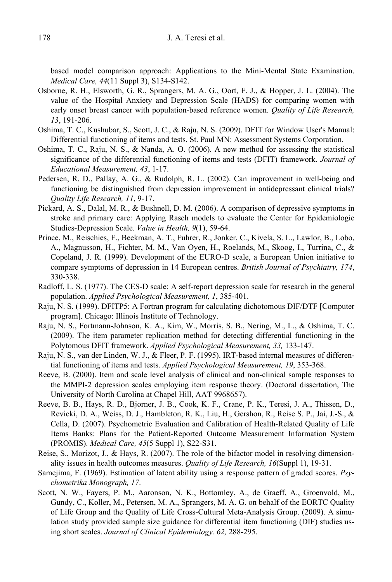based model comparison approach: Applications to the Mini-Mental State Examination. *Medical Care, 44*(11 Suppl 3), S134-S142.

- Osborne, R. H., Elsworth, G. R., Sprangers, M. A. G., Oort, F. J., & Hopper, J. L. (2004). The value of the Hospital Anxiety and Depression Scale (HADS) for comparing women with early onset breast cancer with population-based reference women. *Quality of Life Research, 13*, 191-206.
- Oshima, T. C., Kushubar, S., Scott, J. C., & Raju, N. S. (2009). DFIT for Window User's Manual: Differential functioning of items and tests. St. Paul MN: Assessment Systems Corporation.
- Oshima, T. C., Raju, N. S., & Nanda, A. O. (2006). A new method for assessing the statistical significance of the differential functioning of items and tests (DFIT) framework. *Journal of Educational Measurement, 43*, 1-17.
- Pedersen, R. D., Pallay, A. G., & Rudolph, R. L. (2002). Can improvement in well-being and functioning be distinguished from depression improvement in antidepressant clinical trials? *Quality Life Research, 11*, 9-17.
- Pickard, A. S., Dalal, M. R., & Bushnell, D. M. (2006). A comparison of depressive symptoms in stroke and primary care: Applying Rasch models to evaluate the Center for Epidemiologic Studies-Depression Scale. *Value in Health, 9*(1), 59-64.
- Prince, M., Reischies, F., Beekman, A. T., Fuhrer, R., Jonker, C., Kivela, S. L., Lawlor, B., Lobo, A., Magnusson, H., Fichter, M. M., Van Oyen, H., Roelands, M., Skoog, I., Turrina, C., & Copeland, J. R. (1999). Development of the EURO-D scale, a European Union initiative to compare symptoms of depression in 14 European centres. *British Journal of Psychiatry, 174*, 330-338.
- Radloff, L. S. (1977). The CES-D scale: A self-report depression scale for research in the general population. *Applied Psychological Measurement, 1*, 385-401.
- Raju, N. S. (1999). DFITP5: A Fortran program for calculating dichotomous DIF/DTF [Computer program]. Chicago: Illinois Institute of Technology.
- Raju, N. S., Fortmann-Johnson, K. A., Kim, W., Morris, S. B., Nering, M., L., & Oshima, T. C. (2009). The item parameter replication method for detecting differential functioning in the Polytomous DFIT framework. *Applied Psychological Measurement, 33,* 133-147.
- Raju, N. S., van der Linden, W. J., & Fleer, P. F. (1995). IRT-based internal measures of differential functioning of items and tests. *Applied Psychological Measurement, 19*, 353-368.
- Reeve, B. (2000). Item and scale level analysis of clinical and non-clinical sample responses to the MMPI-2 depression scales employing item response theory. (Doctoral dissertation, The University of North Carolina at Chapel Hill, AAT 9968657).
- Reeve, B. B., Hays, R. D., Bjorner, J. B., Cook, K. F., Crane, P. K., Teresi, J. A., Thissen, D., Revicki, D. A., Weiss, D. J., Hambleton, R. K., Liu, H., Gershon, R., Reise S. P., Jai, J.-S., & Cella, D. (2007). Psychometric Evaluation and Calibration of Health-Related Quality of Life Items Banks: Plans for the Patient-Reported Outcome Measurement Information System (PROMIS). *Medical Care, 45*(5 Suppl 1), S22-S31.
- Reise, S., Morizot, J., & Hays, R. (2007). The role of the bifactor model in resolving dimensionality issues in health outcomes measures. *Quality of Life Research, 16*(Suppl 1), 19-31.
- Samejima, F. (1969). Estimation of latent ability using a response pattern of graded scores. *Psychometrika Monograph, 17*.
- Scott, N. W., Fayers, P. M., Aaronson, N. K., Bottomley, A., de Graeff, A., Groenvold, M., Gundy, C., Koller, M., Petersen, M. A., Sprangers, M. A. G. on behalf of the EORTC Quality of Life Group and the Quality of Life Cross-Cultural Meta-Analysis Group. (2009). A simulation study provided sample size guidance for differential item functioning (DIF) studies using short scales. *Journal of Clinical Epidemiology. 62,* 288-295.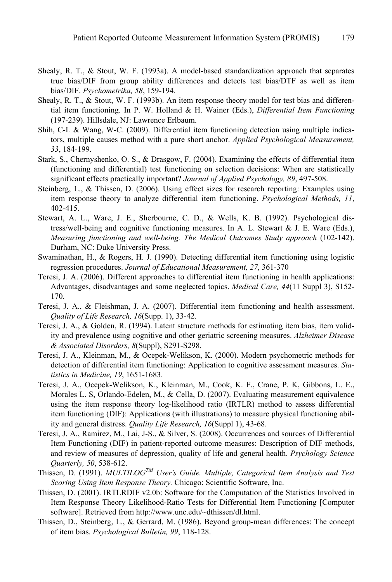- Shealy, R. T., & Stout, W. F. (1993a). A model-based standardization approach that separates true bias/DIF from group ability differences and detects test bias/DTF as well as item bias/DIF. *Psychometrika, 58*, 159-194.
- Shealy, R. T., & Stout, W. F. (1993b). An item response theory model for test bias and differential item functioning. In P. W. Holland & H. Wainer (Eds.), *Differential Item Functioning* (197-239). Hillsdale, NJ: Lawrence Erlbaum.
- Shih, C-L & Wang, W-C. (2009). Differential item functioning detection using multiple indicators, multiple causes method with a pure short anchor. *Applied Psychological Measurement, 33*, 184-199.
- Stark, S., Chernyshenko, O. S., & Drasgow, F. (2004). Examining the effects of differential item (functioning and differential) test functioning on selection decisions: When are statistically significant effects practically important? *Journal of Applied Psychology, 89*, 497-508.
- Steinberg, L., & Thissen, D. (2006). Using effect sizes for research reporting: Examples using item response theory to analyze differential item functioning. *Psychological Methods, 11*, 402-415.
- Stewart, A. L., Ware, J. E., Sherbourne, C. D., & Wells, K. B. (1992). Psychological distress/well-being and cognitive functioning measures. In A. L. Stewart & J. E. Ware (Eds.), *Measuring functioning and well-being. The Medical Outcomes Study approach* (102-142). Durham, NC: Duke University Press.
- Swaminathan, H., & Rogers, H. J. (1990). Detecting differential item functioning using logistic regression procedures. *Journal of Educational Measurement, 27*, 361-370
- Teresi, J. A. (2006). Different approaches to differential item functioning in health applications: Advantages, disadvantages and some neglected topics. *Medical Care, 44*(11 Suppl 3), S152- 170.
- Teresi, J. A., & Fleishman, J. A. (2007). Differential item functioning and health assessment. *Quality of Life Research, 16*(Supp. 1), 33-42.
- Teresi, J. A., & Golden, R. (1994). Latent structure methods for estimating item bias, item validity and prevalence using cognitive and other geriatric screening measures. *Alzheimer Disease & Associated Disorders, 8*(Suppl), S291-S298.
- Teresi, J. A., Kleinman, M., & Ocepek-Welikson, K. (2000). Modern psychometric methods for detection of differential item functioning: Application to cognitive assessment measures. *Statistics in Medicine, 19*, 1651-1683.
- Teresi, J. A., Ocepek-Welikson, K., Kleinman, M., Cook, K. F., Crane, P. K, Gibbons, L. E., Morales L. S, Orlando-Edelen, M., & Cella, D. (2007). Evaluating measurement equivalence using the item response theory log-likelihood ratio (IRTLR) method to assess differential item functioning (DIF): Applications (with illustrations) to measure physical functioning ability and general distress. *Quality Life Research, 16*(Suppl 1), 43-68.
- Teresi, J. A., Ramirez, M., Lai, J-S., & Silver, S. (2008). Occurrences and sources of Differential Item Functioning (DIF) in patient-reported outcome measures: Description of DIF methods, and review of measures of depression, quality of life and general health. *Psychology Science Quarterly, 50*, 538-612.
- Thissen, D. (1991). *MULTILOGTM User's Guide. Multiple, Categorical Item Analysis and Test Scoring Using Item Response Theory.* Chicago: Scientific Software, Inc.
- Thissen, D. (2001). IRTLRDIF v2.0b: Software for the Computation of the Statistics Involved in Item Response Theory Likelihood-Ratio Tests for Differential Item Functioning [Computer software]. Retrieved from http://www.unc.edu/~dthissen/dl.html.
- Thissen, D., Steinberg, L., & Gerrard, M. (1986). Beyond group-mean differences: The concept of item bias. *Psychological Bulletin, 99*, 118-128.